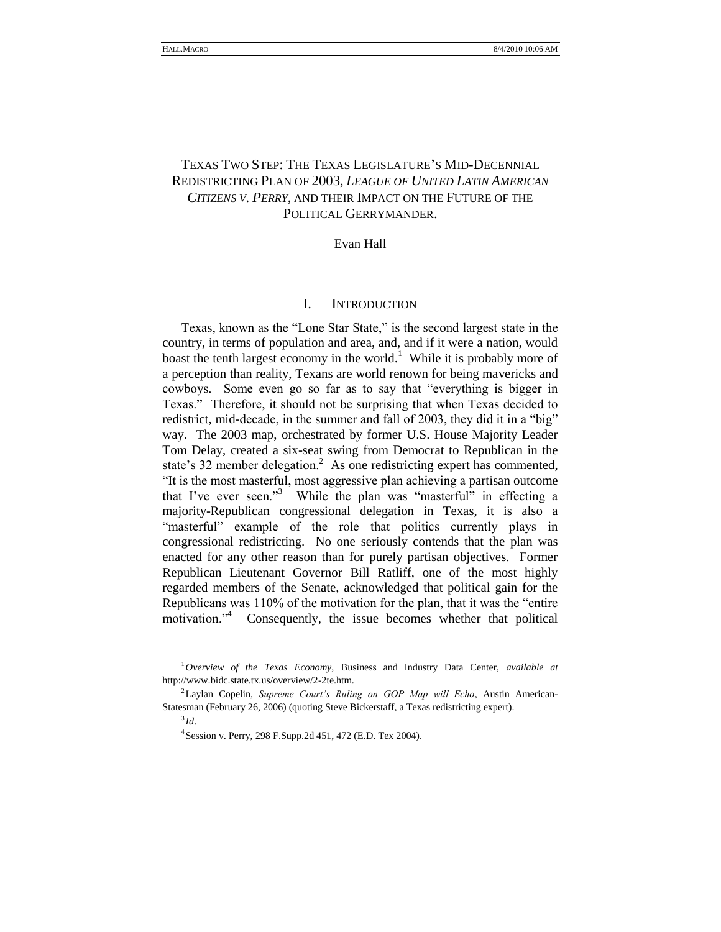# TEXAS TWO STEP: THE TEXAS LEGISLATURE'S MID-DECENNIAL REDISTRICTING PLAN OF 2003, *LEAGUE OF UNITED LATIN AMERICAN CITIZENS V. PERRY*, AND THEIR IMPACT ON THE FUTURE OF THE POLITICAL GERRYMANDER.

## Evan Hall

## I. INTRODUCTION

Texas, known as the "Lone Star State," is the second largest state in the country, in terms of population and area, and, and if it were a nation, would boast the tenth largest economy in the world.<sup>1</sup> While it is probably more of a perception than reality, Texans are world renown for being mavericks and cowboys. Some even go so far as to say that "everything is bigger in Texas." Therefore, it should not be surprising that when Texas decided to redistrict, mid-decade, in the summer and fall of 2003, they did it in a "big" way. The 2003 map, orchestrated by former U.S. House Majority Leader Tom Delay, created a six-seat swing from Democrat to Republican in the state's 32 member delegation.<sup>2</sup> As one redistricting expert has commented, ―It is the most masterful, most aggressive plan achieving a partisan outcome that I've ever seen."<sup>3</sup> While the plan was "masterful" in effecting a majority-Republican congressional delegation in Texas, it is also a "masterful" example of the role that politics currently plays in congressional redistricting. No one seriously contends that the plan was enacted for any other reason than for purely partisan objectives. Former Republican Lieutenant Governor Bill Ratliff, one of the most highly regarded members of the Senate, acknowledged that political gain for the Republicans was  $110\%$  of the motivation for the plan, that it was the "entire" motivation."<sup>4</sup> Consequently, the issue becomes whether that political

<sup>1</sup>*Overview of the Texas Economy,* Business and Industry Data Center, *available at* http://www.bidc.state.tx.us/overview/2-2te.htm.

<sup>2</sup> Laylan Copelin, *Supreme Court's Ruling on GOP Map will Echo*, Austin American-Statesman (February 26, 2006) (quoting Steve Bickerstaff, a Texas redistricting expert).

<sup>3</sup> *Id*.

<sup>4</sup> Session v. Perry, 298 F.Supp.2d 451, 472 (E.D. Tex 2004).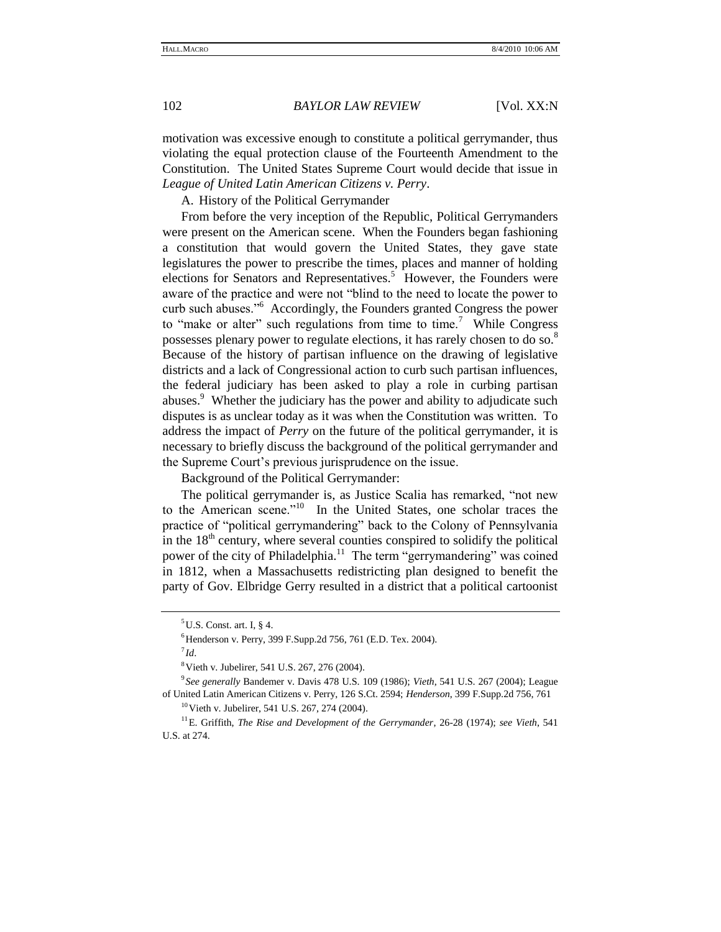motivation was excessive enough to constitute a political gerrymander, thus violating the equal protection clause of the Fourteenth Amendment to the Constitution. The United States Supreme Court would decide that issue in *League of United Latin American Citizens v. Perry*.

A. History of the Political Gerrymander

From before the very inception of the Republic, Political Gerrymanders were present on the American scene. When the Founders began fashioning a constitution that would govern the United States, they gave state legislatures the power to prescribe the times, places and manner of holding elections for Senators and Representatives.<sup>5</sup> However, the Founders were aware of the practice and were not "blind to the need to locate the power to curb such abuses."<sup>6</sup> Accordingly, the Founders granted Congress the power to "make or alter" such regulations from time to time.<sup>7</sup> While Congress possesses plenary power to regulate elections, it has rarely chosen to do so.<sup>8</sup> Because of the history of partisan influence on the drawing of legislative districts and a lack of Congressional action to curb such partisan influences, the federal judiciary has been asked to play a role in curbing partisan abuses.<sup>9</sup> Whether the judiciary has the power and ability to adjudicate such disputes is as unclear today as it was when the Constitution was written. To address the impact of *Perry* on the future of the political gerrymander, it is necessary to briefly discuss the background of the political gerrymander and the Supreme Court's previous jurisprudence on the issue.

Background of the Political Gerrymander:

The political gerrymander is, as Justice Scalia has remarked, "not new to the American scene."<sup>10</sup> In the United States, one scholar traces the practice of "political gerrymandering" back to the Colony of Pennsylvania in the  $18<sup>th</sup>$  century, where several counties conspired to solidify the political power of the city of Philadelphia.<sup>11</sup> The term "gerrymandering" was coined in 1812, when a Massachusetts redistricting plan designed to benefit the party of Gov. Elbridge Gerry resulted in a district that a political cartoonist

 $5$ U.S. Const. art. I, § 4.

<sup>&</sup>lt;sup>6</sup> Henderson v. Perry, 399 F.Supp.2d 756, 761 (E.D. Tex. 2004).

<sup>7</sup> *Id*.

<sup>&</sup>lt;sup>8</sup> Vieth v. Jubelirer, 541 U.S. 267, 276 (2004).

<sup>9</sup> *See generally* Bandemer v. Davis 478 U.S. 109 (1986); *Vieth*, 541 U.S. 267 (2004); League of United Latin American Citizens v. Perry, 126 S.Ct. 2594; *Henderson*, 399 F.Supp.2d 756, 761

<sup>10</sup>Vieth v. Jubelirer, 541 U.S. 267, 274 (2004).

<sup>11</sup>E. Griffith, *The Rise and Development of the Gerrymander*, 26-28 (1974); *see Vieth*, 541 U.S. at 274.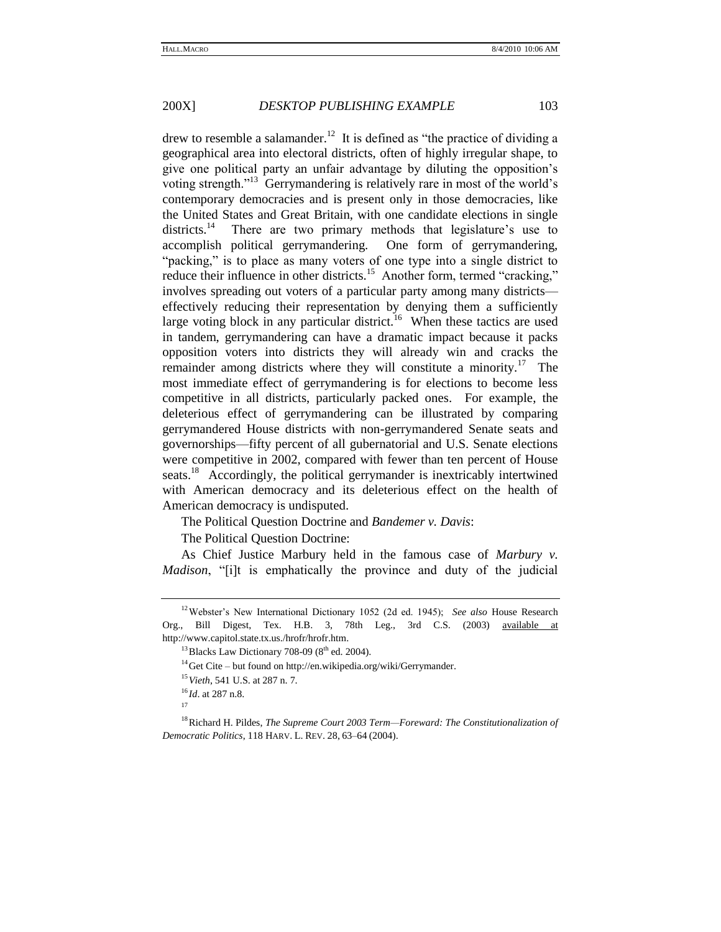drew to resemble a salamander.<sup>12</sup> It is defined as "the practice of dividing a geographical area into electoral districts, often of highly irregular shape, to give one political party an unfair advantage by diluting the opposition's voting strength."<sup>13</sup> Gerrymandering is relatively rare in most of the world's contemporary democracies and is present only in those democracies, like the United States and Great Britain, with one candidate elections in single districts.<sup>14</sup> There are two primary methods that legislature's use to accomplish political gerrymandering. One form of gerrymandering, "packing," is to place as many voters of one type into a single district to reduce their influence in other districts.<sup>15</sup> Another form, termed "cracking," involves spreading out voters of a particular party among many districts effectively reducing their representation by denying them a sufficiently large voting block in any particular district.<sup>16</sup> When these tactics are used in tandem, gerrymandering can have a dramatic impact because it packs opposition voters into districts they will already win and cracks the remainder among districts where they will constitute a minority.<sup>17</sup> The most immediate effect of gerrymandering is for elections to become less competitive in all districts, particularly packed ones. For example, the deleterious effect of gerrymandering can be illustrated by comparing gerrymandered House districts with non-gerrymandered Senate seats and governorships—fifty percent of all gubernatorial and U.S. Senate elections were competitive in 2002, compared with fewer than ten percent of House seats.<sup>18</sup> Accordingly, the political gerrymander is inextricably intertwined with American democracy and its deleterious effect on the health of American democracy is undisputed.

The Political Question Doctrine and *Bandemer v. Davis*:

The Political Question Doctrine:

As Chief Justice Marbury held in the famous case of *Marbury v. Madison*, "[i]t is emphatically the province and duty of the judicial

<sup>12</sup>Webster's New International Dictionary 1052 (2d ed. 1945); *See also* House Research Org., Bill Digest, Tex. H.B. 3, 78th Leg., 3rd C.S. (2003) available at [http://www.capitol.state.tx.us./hrofr/hrofr.htm.](http://www.capitol.state.tx.us./hrofr/hrofr.htm)

 $13$  Blacks Law Dictionary 708-09 ( $8<sup>th</sup>$  ed. 2004).

<sup>&</sup>lt;sup>14</sup>Get Cite – but found on http://en.wikipedia.org/wiki/Gerrymander.

<sup>15</sup>*Vieth*, 541 U.S. at 287 n. 7.

<sup>16</sup> *Id*. at 287 n.8.

<sup>17</sup>

<sup>18</sup>Richard H. Pildes, *The Supreme Court 2003 Term—Foreward: The Constitutionalization of Democratic Politics*, 118 HARV. L. REV. 28, 63–64 (2004).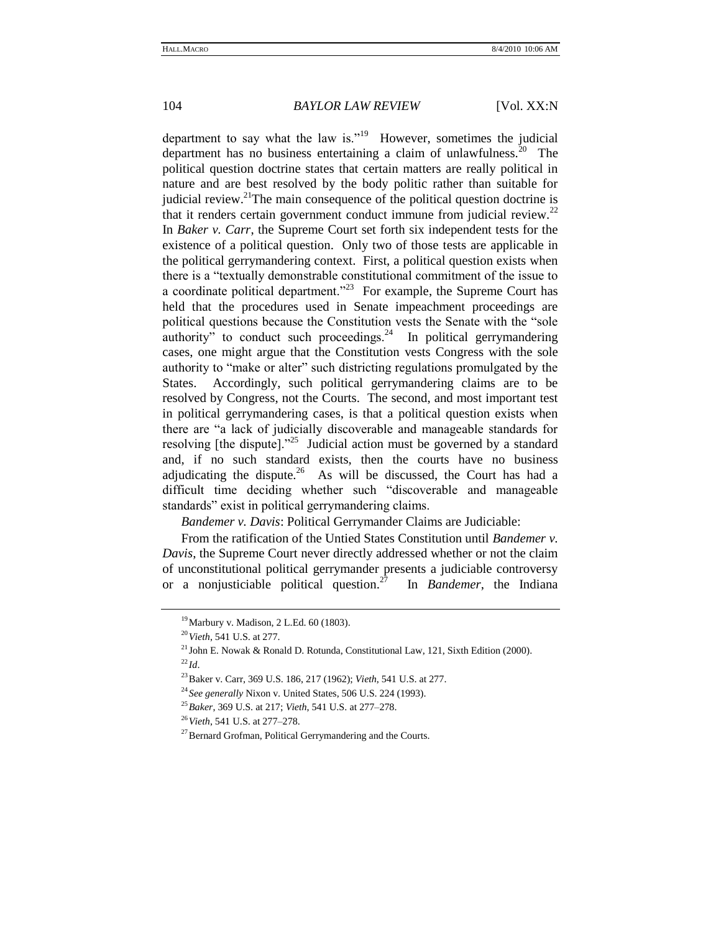department to say what the law is."<sup>19</sup> However, sometimes the judicial department has no business entertaining a claim of unlawfulness. $20$  The political question doctrine states that certain matters are really political in nature and are best resolved by the body politic rather than suitable for judicial review.<sup>21</sup>The main consequence of the political question doctrine is that it renders certain government conduct immune from judicial review. $22$ In *Baker v. Carr*, the Supreme Court set forth six independent tests for the existence of a political question. Only two of those tests are applicable in the political gerrymandering context. First, a political question exists when there is a "textually demonstrable constitutional commitment of the issue to a coordinate political department.<sup> $23$ </sup> For example, the Supreme Court has held that the procedures used in Senate impeachment proceedings are political questions because the Constitution vests the Senate with the "sole authority" to conduct such proceedings.<sup>24</sup> In political gerrymandering cases, one might argue that the Constitution vests Congress with the sole authority to "make or alter" such districting regulations promulgated by the States. Accordingly, such political gerrymandering claims are to be resolved by Congress, not the Courts. The second, and most important test in political gerrymandering cases, is that a political question exists when there are "a lack of judicially discoverable and manageable standards for resolving [the dispute]. $^{25}$  Judicial action must be governed by a standard and, if no such standard exists, then the courts have no business adjudicating the dispute.<sup>26</sup> As will be discussed, the Court has had a difficult time deciding whether such "discoverable and manageable standards" exist in political gerrymandering claims.

*Bandemer v. Davis*: Political Gerrymander Claims are Judiciable:

From the ratification of the Untied States Constitution until *Bandemer v. Davis*, the Supreme Court never directly addressed whether or not the claim of unconstitutional political gerrymander presents a judiciable controversy or a nonjusticiable political question.<sup>27</sup> In *Bandemer*, the Indiana

<sup>19</sup>Marbury v. Madison, 2 L.Ed. 60 (1803).

<sup>20</sup>*Vieth*, 541 U.S. at 277.

<sup>&</sup>lt;sup>21</sup> John E. Nowak & Ronald D. Rotunda, Constitutional Law, 121, Sixth Edition (2000).  $^{22}$ *Id.* 

<sup>23</sup>Baker v. Carr, 369 U.S. 186, 217 (1962); *Vieth*, 541 U.S. at 277.

<sup>24</sup> *See generally* Nixon v. United States, 506 U.S. 224 (1993).

<sup>25</sup>*Baker*, 369 U.S. at 217; *Vieth*, 541 U.S. at 277–278.

<sup>26</sup>*Vieth*, 541 U.S. at 277–278.

<sup>&</sup>lt;sup>27</sup>Bernard Grofman, Political Gerrymandering and the Courts.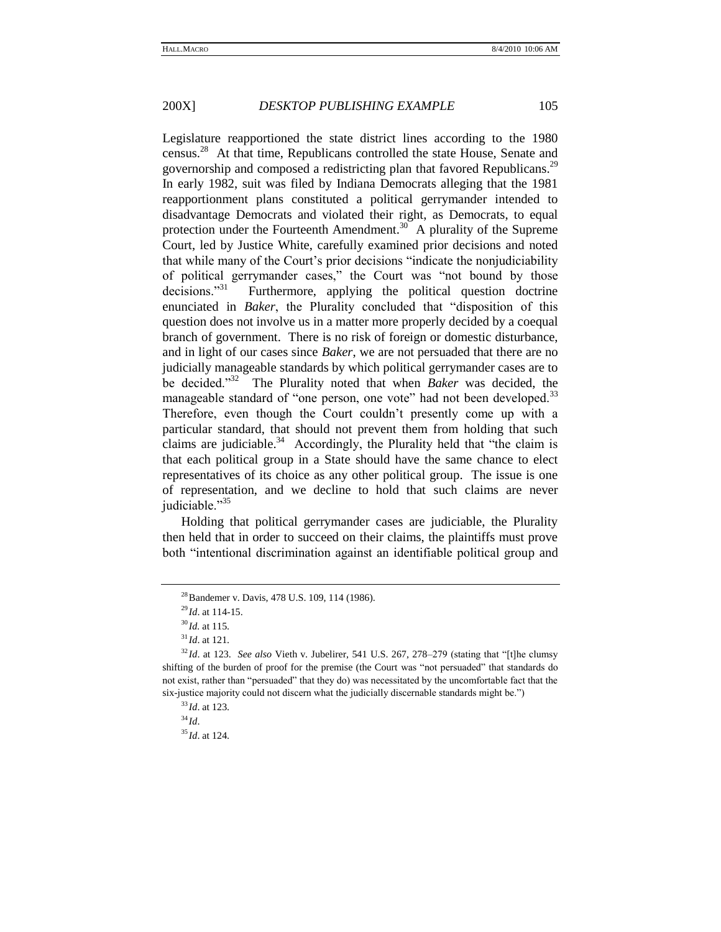Legislature reapportioned the state district lines according to the 1980 census.<sup>28</sup> At that time, Republicans controlled the state House, Senate and governorship and composed a redistricting plan that favored Republicans.<sup>29</sup> In early 1982, suit was filed by Indiana Democrats alleging that the 1981 reapportionment plans constituted a political gerrymander intended to disadvantage Democrats and violated their right, as Democrats, to equal protection under the Fourteenth Amendment.<sup>30</sup> A plurality of the Supreme Court, led by Justice White, carefully examined prior decisions and noted that while many of the Court's prior decisions "indicate the nonjudiciability" of political gerrymander cases," the Court was "not bound by those  $decisions.<sup>31</sup>$  Furthermore, applying the political question doctrine enunciated in *Baker*, the Plurality concluded that "disposition of this question does not involve us in a matter more properly decided by a coequal branch of government. There is no risk of foreign or domestic disturbance, and in light of our cases since *Baker*, we are not persuaded that there are no judicially manageable standards by which political gerrymander cases are to be decided."<sup>32</sup> The Plurality noted that when *Baker* was decided, the manageable standard of "one person, one vote" had not been developed.<sup>33</sup> Therefore, even though the Court couldn't presently come up with a particular standard, that should not prevent them from holding that such claims are judiciable.<sup>34</sup> Accordingly, the Plurality held that "the claim is that each political group in a State should have the same chance to elect representatives of its choice as any other political group. The issue is one of representation, and we decline to hold that such claims are never judiciable."<sup>35</sup>

Holding that political gerrymander cases are judiciable, the Plurality then held that in order to succeed on their claims, the plaintiffs must prove both "intentional discrimination against an identifiable political group and

<sup>&</sup>lt;sup>28</sup> Bandemer v. Davis, 478 U.S. 109, 114 (1986).

<sup>29</sup> *Id*. at 114-15.

<sup>30</sup> *Id.* at 115.

 $31$  *Id.* at 121.

<sup>&</sup>lt;sup>32</sup>Id. at 123. *See also* Vieth v. Jubelirer, 541 U.S. 267, 278–279 (stating that "[t]he clumsy shifting of the burden of proof for the premise (the Court was "not persuaded" that standards do not exist, rather than "persuaded" that they do) was necessitated by the uncomfortable fact that the six-justice majority could not discern what the judicially discernable standards might be.")

<sup>33</sup> *Id*. at 123.

<sup>34</sup> *Id*.

<sup>35</sup> *Id*. at 124.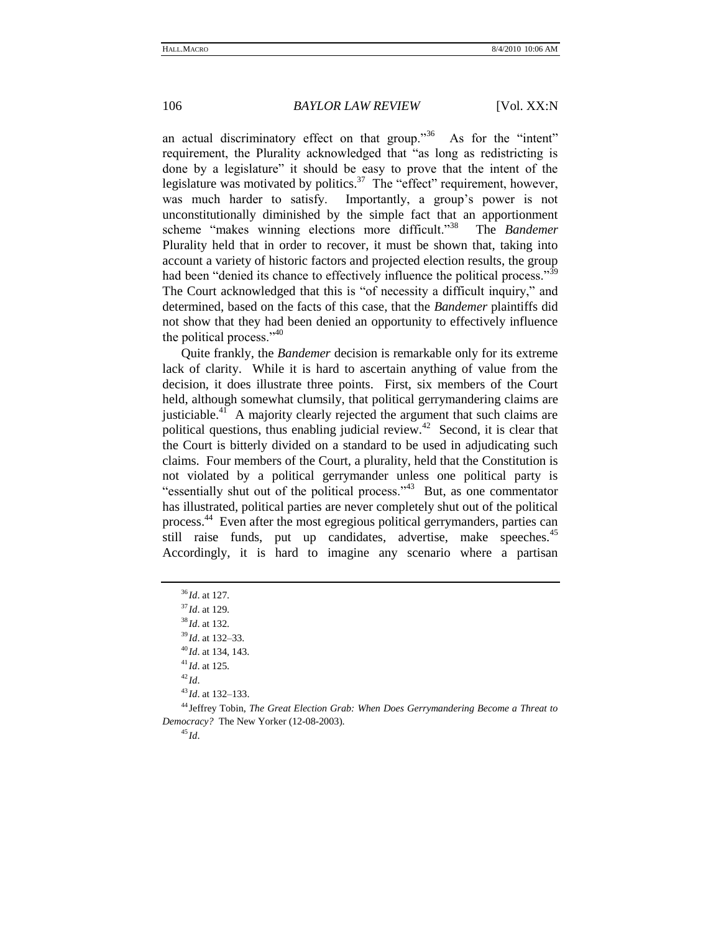an actual discriminatory effect on that group.<sup>356</sup> As for the "intent" requirement, the Plurality acknowledged that "as long as redistricting is done by a legislature" it should be easy to prove that the intent of the legislature was motivated by politics.<sup>37</sup> The "effect" requirement, however, was much harder to satisfy. Importantly, a group's power is not unconstitutionally diminished by the simple fact that an apportionment scheme "makes winning elections more difficult."<sup>38</sup> The *Bandemer* Plurality held that in order to recover, it must be shown that, taking into account a variety of historic factors and projected election results, the group had been "denied its chance to effectively influence the political process." $\frac{39}{2}$ The Court acknowledged that this is "of necessity a difficult inquiry," and determined, based on the facts of this case, that the *Bandemer* plaintiffs did not show that they had been denied an opportunity to effectively influence the political process." $^{40}$ 

Quite frankly, the *Bandemer* decision is remarkable only for its extreme lack of clarity. While it is hard to ascertain anything of value from the decision, it does illustrate three points. First, six members of the Court held, although somewhat clumsily, that political gerrymandering claims are justiciable.<sup>41</sup> A majority clearly rejected the argument that such claims are political questions, thus enabling judicial review.<sup>42</sup> Second, it is clear that the Court is bitterly divided on a standard to be used in adjudicating such claims. Four members of the Court, a plurality, held that the Constitution is not violated by a political gerrymander unless one political party is "essentially shut out of the political process."<sup>43</sup> But, as one commentator has illustrated, political parties are never completely shut out of the political process.<sup>44</sup> Even after the most egregious political gerrymanders, parties can still raise funds, put up candidates, advertise, make speeches.<sup>45</sup> Accordingly, it is hard to imagine any scenario where a partisan

 *Id*. at 127. *Id*. at 129. *Id*. at 132. *Id*. at 132–33. *Id*. at 134, 143. *Id*. at 125. <sup>42</sup> *Id*. *Id*. at 132–133. Jeffrey Tobin, *The Great Election Grab: When Does Gerrymandering Become a Threat to Democracy?* The New Yorker (12-08-2003).

<sup>45</sup> *Id*.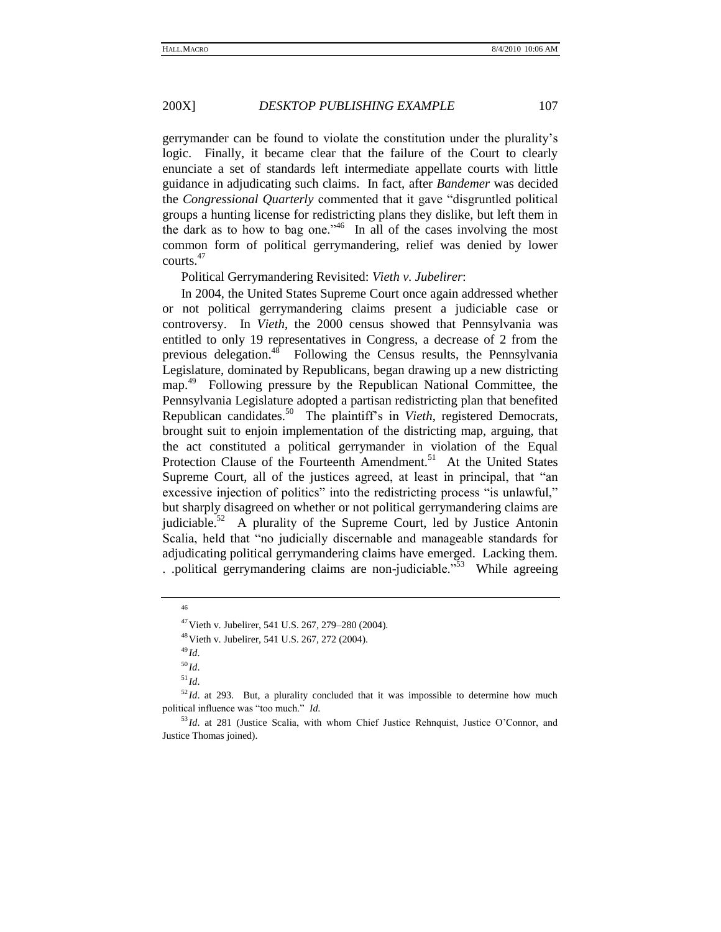gerrymander can be found to violate the constitution under the plurality's logic. Finally, it became clear that the failure of the Court to clearly enunciate a set of standards left intermediate appellate courts with little guidance in adjudicating such claims. In fact, after *Bandemer* was decided the *Congressional Quarterly* commented that it gave "disgruntled political groups a hunting license for redistricting plans they dislike, but left them in the dark as to how to bag one."<sup>46</sup> In all of the cases involving the most common form of political gerrymandering, relief was denied by lower courts.<sup>47</sup>

Political Gerrymandering Revisited: *Vieth v. Jubelirer*:

In 2004, the United States Supreme Court once again addressed whether or not political gerrymandering claims present a judiciable case or controversy. In *Vieth*, the 2000 census showed that Pennsylvania was entitled to only 19 representatives in Congress, a decrease of 2 from the previous delegation.<sup>48</sup> Following the Census results, the Pennsylvania Legislature, dominated by Republicans, began drawing up a new districting map.<sup>49</sup> Following pressure by the Republican National Committee, the Pennsylvania Legislature adopted a partisan redistricting plan that benefited Republican candidates.<sup>50</sup> The plaintiff's in *Vieth*, registered Democrats, brought suit to enjoin implementation of the districting map, arguing, that the act constituted a political gerrymander in violation of the Equal Protection Clause of the Fourteenth Amendment.<sup>51</sup> At the United States Supreme Court, all of the justices agreed, at least in principal, that "an excessive injection of politics" into the redistricting process "is unlawful," but sharply disagreed on whether or not political gerrymandering claims are judiciable.<sup>52</sup> A plurality of the Supreme Court, led by Justice Antonin Scalia, held that "no judicially discernable and manageable standards for adjudicating political gerrymandering claims have emerged. Lacking them. . .political gerrymandering claims are non-judiciable.<sup> $553$ </sup> While agreeing

<sup>46</sup>

 $47$  Vieth v. Jubelirer, 541 U.S. 267, 279–280 (2004).

<sup>48</sup>Vieth v. Jubelirer, 541 U.S. 267, 272 (2004).

<sup>49</sup> *Id*.

<sup>50</sup> *Id*.

 $^{51} \!$   $ld.$ 

<sup>&</sup>lt;sup>52</sup>*Id*. at 293. But, a plurality concluded that it was impossible to determine how much political influence was "too much." *Id.* 

<sup>53</sup> *Id*. at 281 (Justice Scalia, with whom Chief Justice Rehnquist, Justice O'Connor, and Justice Thomas joined).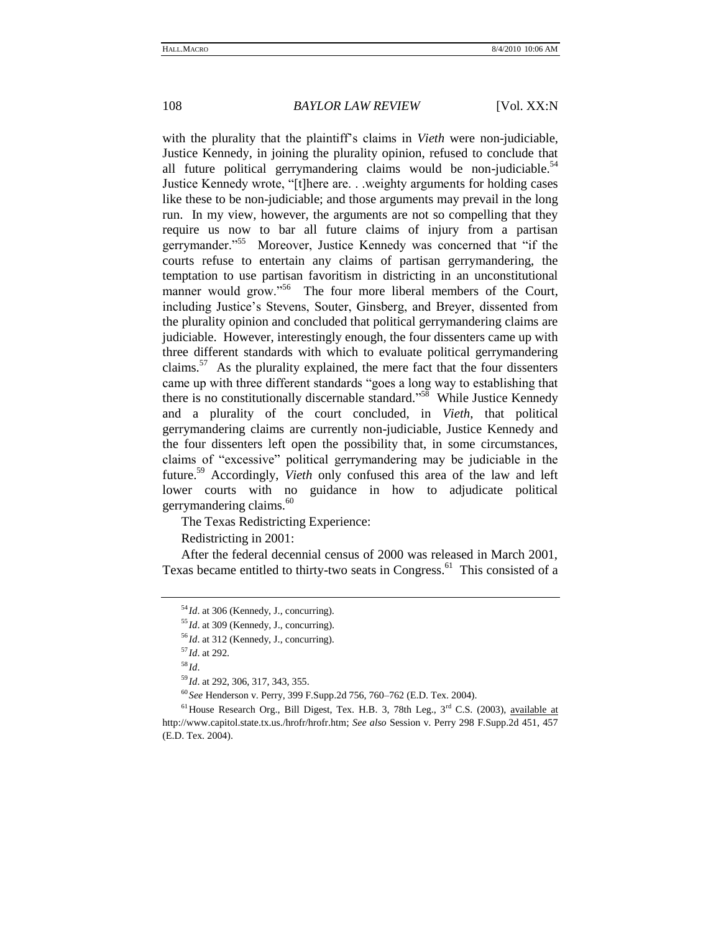with the plurality that the plaintiff's claims in *Vieth* were non-judiciable, Justice Kennedy, in joining the plurality opinion, refused to conclude that all future political gerrymandering claims would be non-judiciable. $54$ Justice Kennedy wrote, "[t]here are. . .weighty arguments for holding cases like these to be non-judiciable; and those arguments may prevail in the long run. In my view, however, the arguments are not so compelling that they require us now to bar all future claims of injury from a partisan gerrymander."<sup>55</sup> Moreover, Justice Kennedy was concerned that "if the courts refuse to entertain any claims of partisan gerrymandering, the temptation to use partisan favoritism in districting in an unconstitutional manner would grow."<sup>56</sup> The four more liberal members of the Court, including Justice's Stevens, Souter, Ginsberg, and Breyer, dissented from the plurality opinion and concluded that political gerrymandering claims are judiciable. However, interestingly enough, the four dissenters came up with three different standards with which to evaluate political gerrymandering claims.<sup>57</sup> As the plurality explained, the mere fact that the four dissenters came up with three different standards "goes a long way to establishing that there is no constitutionally discernable standard."<sup>58</sup> While Justice Kennedy and a plurality of the court concluded, in *Vieth*, that political gerrymandering claims are currently non-judiciable, Justice Kennedy and the four dissenters left open the possibility that, in some circumstances, claims of "excessive" political gerrymandering may be judiciable in the future.<sup>59</sup> Accordingly, *Vieth* only confused this area of the law and left lower courts with no guidance in how to adjudicate political gerrymandering claims. $60$ 

The Texas Redistricting Experience:

Redistricting in 2001:

After the federal decennial census of 2000 was released in March 2001, Texas became entitled to thirty-two seats in Congress.<sup>61</sup> This consisted of a

<sup>&</sup>lt;sup>54</sup>*Id.* at 306 (Kennedy, J., concurring).

<sup>55</sup> *Id*. at 309 (Kennedy, J., concurring).

<sup>56</sup> *Id*. at 312 (Kennedy, J., concurring).

<sup>57</sup> *Id*. at 292.

<sup>58</sup> *Id*.

<sup>59</sup> *Id*. at 292, 306, 317, 343, 355.

<sup>60</sup> *See* Henderson v. Perry, 399 F.Supp.2d 756, 760–762 (E.D. Tex. 2004).

 $61$  House Research Org., Bill Digest, Tex. H.B. 3, 78th Leg.,  $3<sup>rd</sup>$  C.S. (2003), available at [http://www.capitol.state.tx.us./hrofr/hrofr.htm;](http://www.capitol.state.tx.us./hrofr/hrofr.htm) *See also* Session v. Perry 298 F.Supp.2d 451, 457 (E.D. Tex. 2004).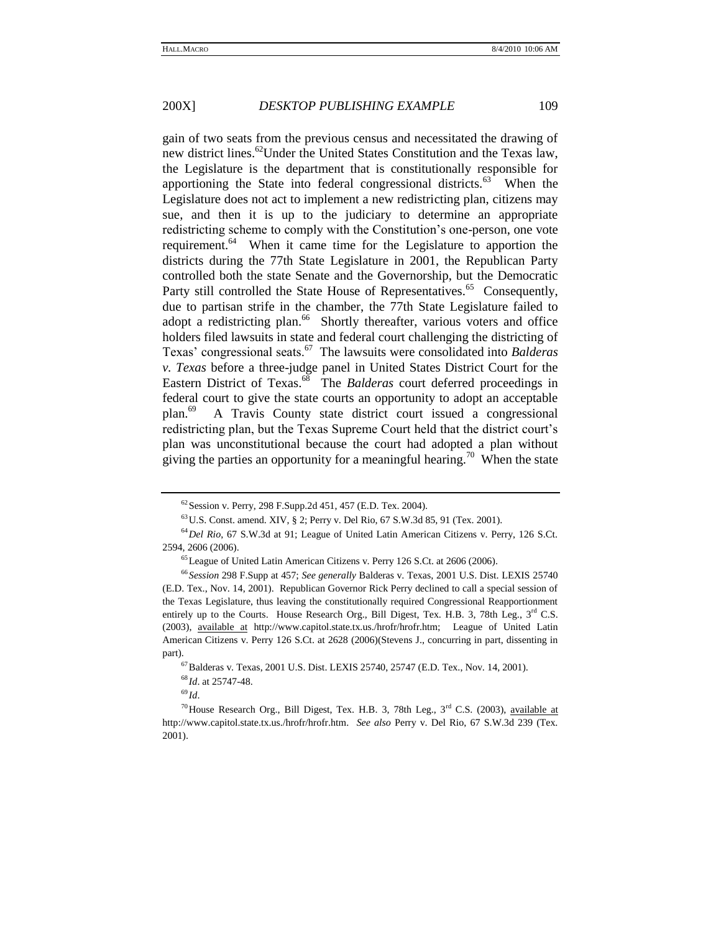gain of two seats from the previous census and necessitated the drawing of new district lines.<sup>62</sup>Under the United States Constitution and the Texas law, the Legislature is the department that is constitutionally responsible for apportioning the State into federal congressional districts. $63$  When the Legislature does not act to implement a new redistricting plan, citizens may sue, and then it is up to the judiciary to determine an appropriate redistricting scheme to comply with the Constitution's one-person, one vote requirement.<sup>64</sup> When it came time for the Legislature to apportion the districts during the 77th State Legislature in 2001, the Republican Party controlled both the state Senate and the Governorship, but the Democratic Party still controlled the State House of Representatives.<sup>65</sup> Consequently, due to partisan strife in the chamber, the 77th State Legislature failed to adopt a redistricting plan.<sup>66</sup> Shortly thereafter, various voters and office holders filed lawsuits in state and federal court challenging the districting of Texas' congressional seats.<sup>67</sup> The lawsuits were consolidated into *Balderas v. Texas* before a three-judge panel in United States District Court for the Eastern District of Texas.<sup>68</sup> The *Balderas* court deferred proceedings in federal court to give the state courts an opportunity to adopt an acceptable plan.<sup>69</sup> A Travis County state district court issued a congressional redistricting plan, but the Texas Supreme Court held that the district court's plan was unconstitutional because the court had adopted a plan without giving the parties an opportunity for a meaningful hearing.<sup>70</sup> When the state

<sup>62</sup> Session v. Perry, 298 F.Supp.2d 451, 457 (E.D. Tex. 2004).

<sup>63</sup>U.S. Const. amend. XIV, § 2; Perry v. Del Rio, 67 S.W.3d 85, 91 (Tex. 2001).

<sup>64</sup>*Del Rio*, 67 S.W.3d at 91; League of United Latin American Citizens v. Perry, 126 S.Ct. 2594, 2606 (2006).

<sup>65</sup>League of United Latin American Citizens v. Perry 126 S.Ct. at 2606 (2006).

<sup>66</sup> *Session* 298 F.Supp at 457; *See generally* Balderas v. Texas, 2001 U.S. Dist. LEXIS 25740 (E.D. Tex., Nov. 14, 2001). Republican Governor Rick Perry declined to call a special session of the Texas Legislature, thus leaving the constitutionally required Congressional Reapportionment entirely up to the Courts. House Research Org., Bill Digest, Tex. H.B. 3, 78th Leg.,  $3<sup>rd</sup>$  C.S. (2003), available at [http://www.capitol.state.tx.us./hrofr/hrofr.htm;](http://www.capitol.state.tx.us./hrofr/hrofr.htm) League of United Latin American Citizens v. Perry 126 S.Ct. at 2628 (2006)(Stevens J., concurring in part, dissenting in part).

<sup>67</sup>Balderas v. Texas, 2001 U.S. Dist. LEXIS 25740, 25747 (E.D. Tex., Nov. 14, 2001).

<sup>68</sup> *Id*. at 25747-48.

<sup>69</sup> *Id*.

<sup>&</sup>lt;sup>70</sup>House Research Org., Bill Digest, Tex. H.B. 3, 78th Leg.,  $3<sup>rd</sup>$  C.S. (2003), available at [http://www.capitol.state.tx.us./hrofr/hrofr.htm.](http://www.capitol.state.tx.us./hrofr/hrofr.htm) *See also* Perry v. Del Rio, 67 S.W.3d 239 (Tex. 2001).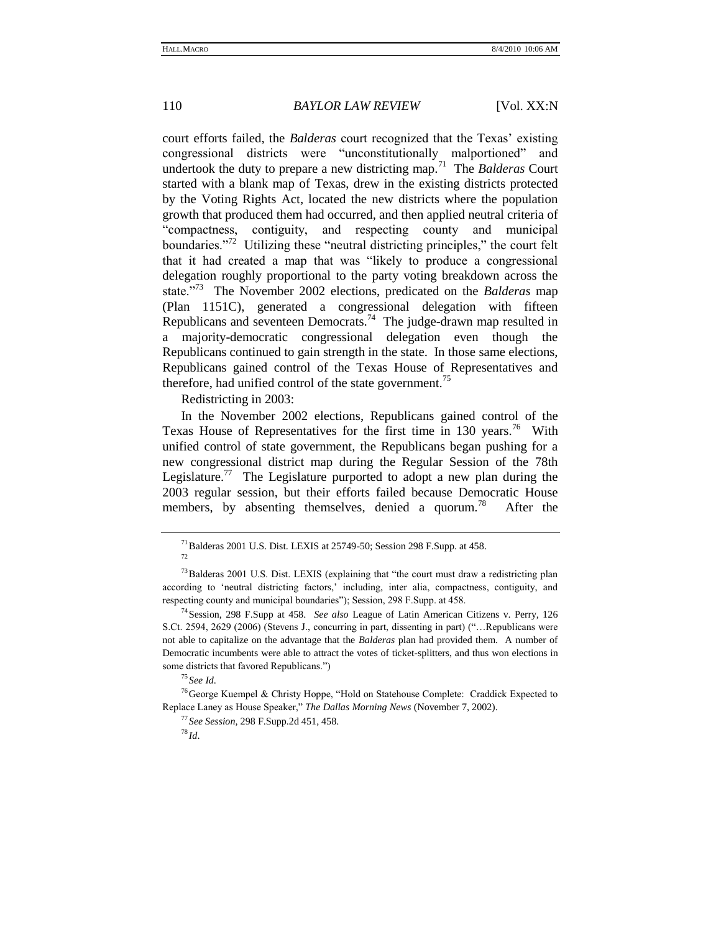court efforts failed, the *Balderas* court recognized that the Texas' existing congressional districts were "unconstitutionally malportioned" and undertook the duty to prepare a new districting map.<sup>71</sup> The *Balderas* Court started with a blank map of Texas, drew in the existing districts protected by the Voting Rights Act, located the new districts where the population growth that produced them had occurred, and then applied neutral criteria of ―compactness, contiguity, and respecting county and municipal boundaries."<sup>72</sup> Utilizing these "neutral districting principles," the court felt that it had created a map that was "likely to produce a congressional delegation roughly proportional to the party voting breakdown across the state.<sup>773</sup> The November 2002 elections, predicated on the *Balderas* map (Plan 1151C), generated a congressional delegation with fifteen Republicans and seventeen Democrats.<sup>74</sup> The judge-drawn map resulted in a majority-democratic congressional delegation even though the Republicans continued to gain strength in the state. In those same elections, Republicans gained control of the Texas House of Representatives and therefore, had unified control of the state government.<sup>75</sup>

Redistricting in 2003:

In the November 2002 elections, Republicans gained control of the Texas House of Representatives for the first time in 130 years.<sup>76</sup> With unified control of state government, the Republicans began pushing for a new congressional district map during the Regular Session of the 78th Legislature.<sup>77</sup> The Legislature purported to adopt a new plan during the 2003 regular session, but their efforts failed because Democratic House members, by absenting themselves, denied a quorum.<sup>78</sup> After the

<sup>75</sup> *See Id*.

 $^{71}$ Balderas 2001 U.S. Dist. LEXIS at 25749-50; Session 298 F.Supp. at 458.

<sup>72</sup>

 $73$ Balderas 2001 U.S. Dist. LEXIS (explaining that "the court must draw a redistricting plan according to 'neutral districting factors,' including, inter alia, compactness, contiguity, and respecting county and municipal boundaries"); Session, 298 F.Supp. at 458.

<sup>74</sup>Session, 298 F.Supp at 458. *See also* League of Latin American Citizens v. Perry, 126 S.Ct. 2594, 2629 (2006) (Stevens J., concurring in part, dissenting in part) (…Republicans were not able to capitalize on the advantage that the *Balderas* plan had provided them. A number of Democratic incumbents were able to attract the votes of ticket-splitters, and thus won elections in some districts that favored Republicans.")

<sup>&</sup>lt;sup>76</sup>George Kuempel & Christy Hoppe, "Hold on Statehouse Complete: Craddick Expected to Replace Laney as House Speaker," *The Dallas Morning News* (November 7, 2002).

<sup>77</sup> *See Session*, 298 F.Supp.2d 451, 458.

 $^{78}$ *Id.*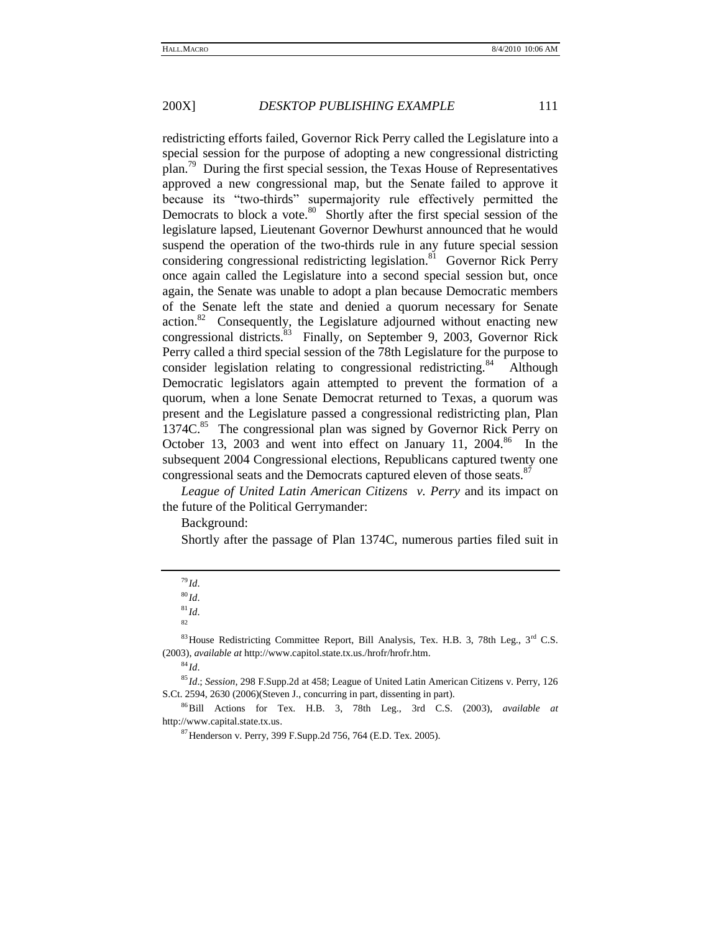redistricting efforts failed, Governor Rick Perry called the Legislature into a special session for the purpose of adopting a new congressional districting plan.<sup>79</sup> During the first special session, the Texas House of Representatives approved a new congressional map, but the Senate failed to approve it because its "two-thirds" supermajority rule effectively permitted the Democrats to block a vote.<sup>80</sup> Shortly after the first special session of the legislature lapsed, Lieutenant Governor Dewhurst announced that he would suspend the operation of the two-thirds rule in any future special session considering congressional redistricting legislation.<sup>81</sup> Governor Rick Perry once again called the Legislature into a second special session but, once again, the Senate was unable to adopt a plan because Democratic members of the Senate left the state and denied a quorum necessary for Senate  $\arctan^{82}$  Consequently, the Legislature adjourned without enacting new congressional districts.<sup>83</sup> Finally, on September 9, 2003, Governor Rick Perry called a third special session of the 78th Legislature for the purpose to consider legislation relating to congressional redistricting.<sup>84</sup> Although Democratic legislators again attempted to prevent the formation of a quorum, when a lone Senate Democrat returned to Texas, a quorum was present and the Legislature passed a congressional redistricting plan, Plan 1374C.<sup>85</sup> The congressional plan was signed by Governor Rick Perry on October 13, 2003 and went into effect on January 11, 2004.<sup>86</sup> In the subsequent 2004 Congressional elections, Republicans captured twenty one congressional seats and the Democrats captured eleven of those seats.<sup>87</sup>

*League of United Latin American Citizens v. Perry* and its impact on the future of the Political Gerrymander:

Background:

Shortly after the passage of Plan 1374C, numerous parties filed suit in

 $81$  *Id*.

 $^{84}$ *Id*.

<sup>79</sup> *Id*.

 $80$  *Id.* 

<sup>82</sup>

 $83$  House Redistricting Committee Report, Bill Analysis, Tex. H.B. 3, 78th Leg.,  $3<sup>rd</sup>$  C.S. (2003), *available at* [http://www.capitol.state.tx.us./hrofr/hrofr.htm.](http://www.capitol.state.tx.us./hrofr/hrofr.htm)

<sup>85</sup> *Id*.; *Session*, 298 F.Supp.2d at 458; League of United Latin American Citizens v. Perry, 126 S.Ct. 2594, 2630 (2006)(Steven J., concurring in part, dissenting in part).

<sup>86</sup>Bill Actions for Tex. H.B. 3, 78th Leg., 3rd C.S. (2003), *available at* [http://www.capital.state.tx.us.](http://www.capital.state.tx.us/)

 $87$  Henderson v. Perry, 399 F. Supp. 2d 756, 764 (E.D. Tex. 2005).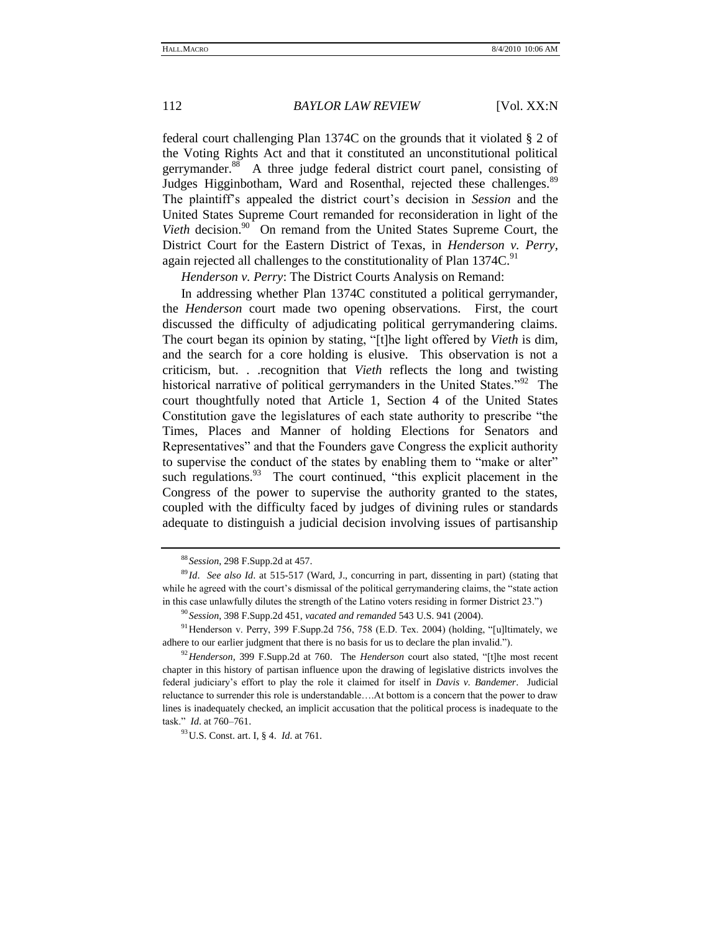federal court challenging Plan 1374C on the grounds that it violated § 2 of the Voting Rights Act and that it constituted an unconstitutional political gerrymander.<sup>88</sup> A three judge federal district court panel, consisting of Judges Higginbotham, Ward and Rosenthal, rejected these challenges.<sup>89</sup> The plaintiff's appealed the district court's decision in *Session* and the United States Supreme Court remanded for reconsideration in light of the Vieth decision.<sup>90</sup> On remand from the United States Supreme Court, the District Court for the Eastern District of Texas, in *Henderson v. Perry*, again rejected all challenges to the constitutionality of Plan 1374C.<sup>91</sup>

*Henderson v. Perry*: The District Courts Analysis on Remand:

In addressing whether Plan 1374C constituted a political gerrymander, the *Henderson* court made two opening observations. First, the court discussed the difficulty of adjudicating political gerrymandering claims. The court began its opinion by stating, "[t]he light offered by *Vieth* is dim, and the search for a core holding is elusive. This observation is not a criticism, but. . .recognition that *Vieth* reflects the long and twisting historical narrative of political gerrymanders in the United States."<sup>92</sup> The court thoughtfully noted that Article 1, Section 4 of the United States Constitution gave the legislatures of each state authority to prescribe "the Times, Places and Manner of holding Elections for Senators and Representatives" and that the Founders gave Congress the explicit authority to supervise the conduct of the states by enabling them to "make or alter" such regulations. $93$  The court continued, "this explicit placement in the Congress of the power to supervise the authority granted to the states, coupled with the difficulty faced by judges of divining rules or standards adequate to distinguish a judicial decision involving issues of partisanship

<sup>88</sup> *Session*, 298 F.Supp.2d at 457.

<sup>89</sup> *Id*. *See also Id*. at 515-517 (Ward, J., concurring in part, dissenting in part) (stating that while he agreed with the court's dismissal of the political gerrymandering claims, the "state action in this case unlawfully dilutes the strength of the Latino voters residing in former District 23.")

<sup>90</sup> *Session*, 398 F.Supp.2d 451, *vacated and remanded* 543 U.S. 941 (2004).

 $91$  Henderson v. Perry, 399 F.Supp.2d 756, 758 (E.D. Tex. 2004) (holding, "[u]ltimately, we adhere to our earlier judgment that there is no basis for us to declare the plan invalid.").

<sup>&</sup>lt;sup>92</sup> Henderson, 399 F.Supp.2d at 760. The *Henderson* court also stated, "[t]he most recent chapter in this history of partisan influence upon the drawing of legislative districts involves the federal judiciary's effort to play the role it claimed for itself in *Davis v. Bandemer*. Judicial reluctance to surrender this role is understandable….At bottom is a concern that the power to draw lines is inadequately checked, an implicit accusation that the political process is inadequate to the task.‖ *Id*. at 760–761.

<sup>93</sup>U.S. Const. art. I, § 4. *Id*. at 761.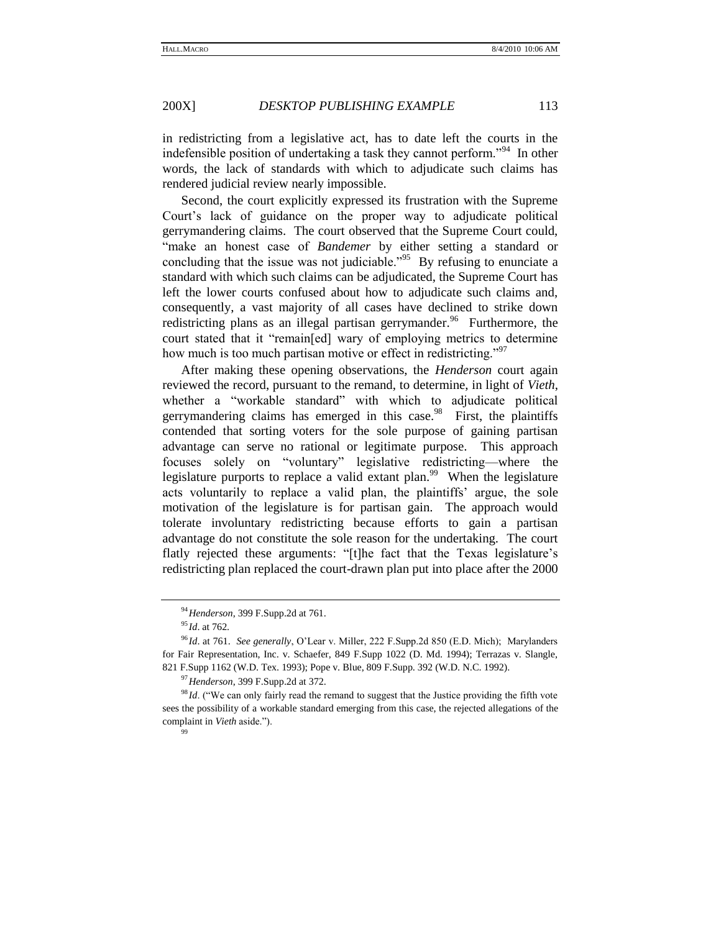in redistricting from a legislative act, has to date left the courts in the indefensible position of undertaking a task they cannot perform."<sup>94</sup> In other words, the lack of standards with which to adjudicate such claims has rendered judicial review nearly impossible.

Second, the court explicitly expressed its frustration with the Supreme Court's lack of guidance on the proper way to adjudicate political gerrymandering claims. The court observed that the Supreme Court could, "make an honest case of *Bandemer* by either setting a standard or concluding that the issue was not judiciable.<sup> $295$ </sup> By refusing to enunciate a standard with which such claims can be adjudicated, the Supreme Court has left the lower courts confused about how to adjudicate such claims and, consequently, a vast majority of all cases have declined to strike down redistricting plans as an illegal partisan gerrymander.<sup>96</sup> Furthermore, the court stated that it "remain[ed] wary of employing metrics to determine how much is too much partisan motive or effect in redistricting.<sup>997</sup>

After making these opening observations, the *Henderson* court again reviewed the record, pursuant to the remand, to determine, in light of *Vieth*, whether a "workable standard" with which to adjudicate political gerrymandering claims has emerged in this case.<sup>98</sup> First, the plaintiffs contended that sorting voters for the sole purpose of gaining partisan advantage can serve no rational or legitimate purpose. This approach focuses solely on "voluntary" legislative redistricting—where the legislature purports to replace a valid extant plan.<sup>99</sup> When the legislature acts voluntarily to replace a valid plan, the plaintiffs' argue, the sole motivation of the legislature is for partisan gain. The approach would tolerate involuntary redistricting because efforts to gain a partisan advantage do not constitute the sole reason for the undertaking. The court flatly rejected these arguments: "[t]he fact that the Texas legislature's redistricting plan replaced the court-drawn plan put into place after the 2000

<sup>97</sup>*Henderson*, 399 F.Supp.2d at 372.

99

<sup>94</sup>*Henderson*, 399 F.Supp.2d at 761.

<sup>95</sup> *Id*. at 762.

<sup>96</sup> *Id*. at 761. *See generally*, O'Lear v. Miller, 222 F.Supp.2d 850 (E.D. Mich); Marylanders for Fair Representation, Inc. v. Schaefer, 849 F.Supp 1022 (D. Md. 1994); Terrazas v. Slangle, 821 F.Supp 1162 (W.D. Tex. 1993); Pope v. Blue, 809 F.Supp. 392 (W.D. N.C. 1992).

<sup>&</sup>lt;sup>98</sup> Id. ("We can only fairly read the remand to suggest that the Justice providing the fifth vote sees the possibility of a workable standard emerging from this case, the rejected allegations of the complaint in *Vieth* aside.").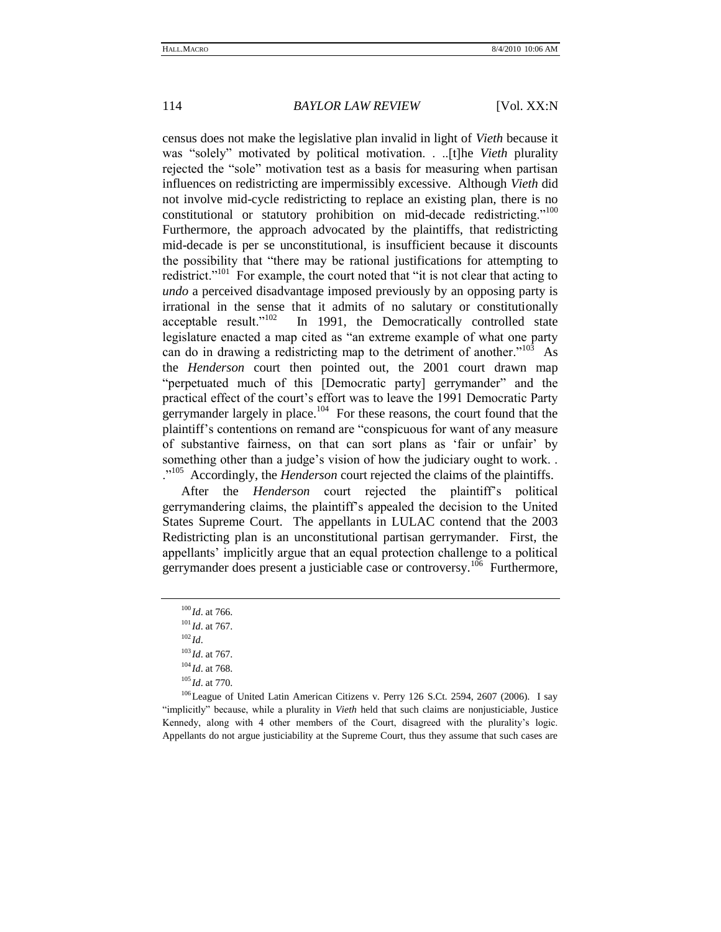census does not make the legislative plan invalid in light of *Vieth* because it was "solely" motivated by political motivation. . ...[t]he *Vieth* plurality rejected the "sole" motivation test as a basis for measuring when partisan influences on redistricting are impermissibly excessive. Although *Vieth* did not involve mid-cycle redistricting to replace an existing plan, there is no constitutional or statutory prohibition on mid-decade redistricting."<sup>100</sup> Furthermore, the approach advocated by the plaintiffs, that redistricting mid-decade is per se unconstitutional, is insufficient because it discounts the possibility that "there may be rational justifications for attempting to redistrict."<sup>101</sup> For example, the court noted that "it is not clear that acting to *undo* a perceived disadvantage imposed previously by an opposing party is irrational in the sense that it admits of no salutary or constitutionally acceptable result."<sup>102</sup> In 1991, the Democratically controlled state legislature enacted a map cited as "an extreme example of what one party can do in drawing a redistricting map to the detriment of another." $103$  As the *Henderson* court then pointed out, the 2001 court drawn map "perpetuated much of this [Democratic party] gerrymander" and the practical effect of the court's effort was to leave the 1991 Democratic Party gerrymander largely in place. $104$  For these reasons, the court found that the plaintiff's contentions on remand are "conspicuous for want of any measure of substantive fairness, on that can sort plans as ‗fair or unfair' by something other than a judge's vision of how the judiciary ought to work. . .<sup>105</sup> Accordingly, the *Henderson* court rejected the claims of the plaintiffs.

After the *Henderson* court rejected the plaintiff's political gerrymandering claims, the plaintiff's appealed the decision to the United States Supreme Court. The appellants in LULAC contend that the 2003 Redistricting plan is an unconstitutional partisan gerrymander. First, the appellants' implicitly argue that an equal protection challenge to a political gerrymander does present a justiciable case or controversy.<sup>106</sup> Furthermore,

<sup>100</sup> *Id*. at 766.

<sup>101</sup> *Id*. at 767.

 $102$  *Id.* 

<sup>103</sup> *Id*. at 767.

<sup>104</sup> *Id*. at 768.

<sup>105</sup> *Id*. at 770.

 $106$  League of United Latin American Citizens v. Perry 126 S.Ct. 2594, 2607 (2006). I say ―implicitly‖ because, while a plurality in *Vieth* held that such claims are nonjusticiable, Justice Kennedy, along with 4 other members of the Court, disagreed with the plurality's logic. Appellants do not argue justiciability at the Supreme Court, thus they assume that such cases are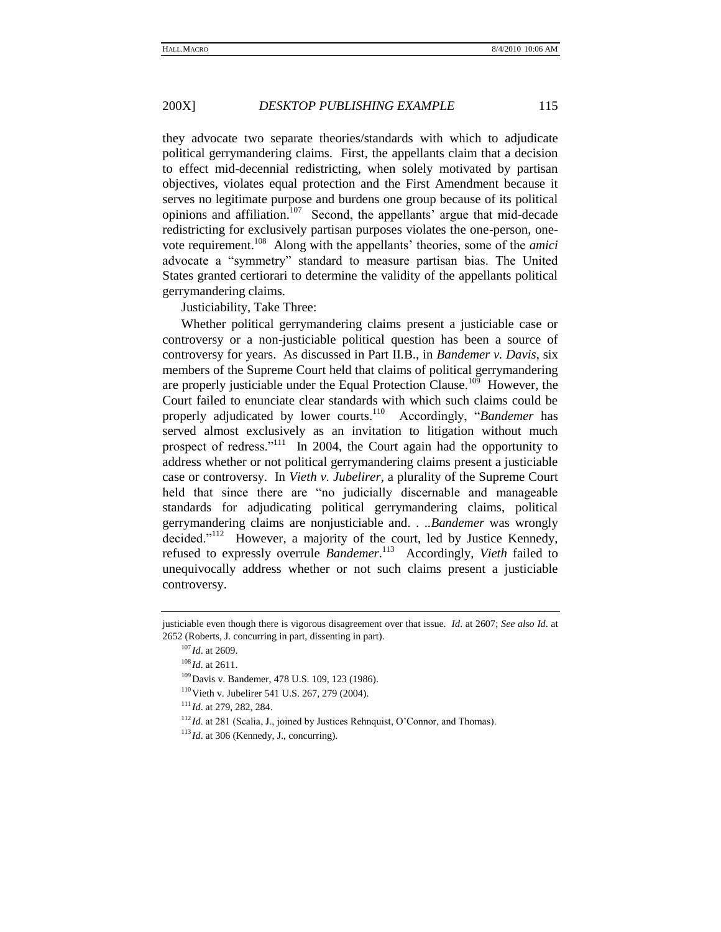they advocate two separate theories/standards with which to adjudicate political gerrymandering claims. First, the appellants claim that a decision to effect mid-decennial redistricting, when solely motivated by partisan objectives, violates equal protection and the First Amendment because it serves no legitimate purpose and burdens one group because of its political opinions and affiliation.<sup>107</sup> Second, the appellants' argue that mid-decade redistricting for exclusively partisan purposes violates the one-person, onevote requirement.<sup>108</sup> Along with the appellants' theories, some of the *amici* advocate a "symmetry" standard to measure partisan bias. The United States granted certiorari to determine the validity of the appellants political gerrymandering claims.

Justiciability, Take Three:

Whether political gerrymandering claims present a justiciable case or controversy or a non-justiciable political question has been a source of controversy for years. As discussed in Part II.B., in *Bandemer v. Davis*, six members of the Supreme Court held that claims of political gerrymandering are properly justiciable under the Equal Protection Clause.<sup>109</sup> However, the Court failed to enunciate clear standards with which such claims could be properly adjudicated by lower courts.<sup>110</sup> Accordingly, "Bandemer has served almost exclusively as an invitation to litigation without much prospect of redress."<sup>111</sup> In 2004, the Court again had the opportunity to address whether or not political gerrymandering claims present a justiciable case or controversy. In *Vieth v. Jubelirer*, a plurality of the Supreme Court held that since there are "no judicially discernable and manageable standards for adjudicating political gerrymandering claims, political gerrymandering claims are nonjusticiable and. . ..*Bandemer* was wrongly decided."<sup>112</sup> However, a majority of the court, led by Justice Kennedy, refused to expressly overrule *Bandemer*. 113 Accordingly, *Vieth* failed to unequivocally address whether or not such claims present a justiciable controversy.

justiciable even though there is vigorous disagreement over that issue. *Id*. at 2607; *See also Id*. at 2652 (Roberts, J. concurring in part, dissenting in part).

<sup>107</sup> *Id*. at 2609.

<sup>108</sup> *Id*. at 2611.

<sup>&</sup>lt;sup>109</sup> Davis v. Bandemer, 478 U.S. 109, 123 (1986).

<sup>&</sup>lt;sup>110</sup> Vieth v. Jubelirer 541 U.S. 267, 279 (2004).

<sup>111</sup> *Id*. at 279, 282, 284.

<sup>&</sup>lt;sup>112</sup>*Id.* at 281 (Scalia, J., joined by Justices Rehnquist, O'Connor, and Thomas).

<sup>&</sup>lt;sup>113</sup>*Id.* at 306 (Kennedy, J., concurring).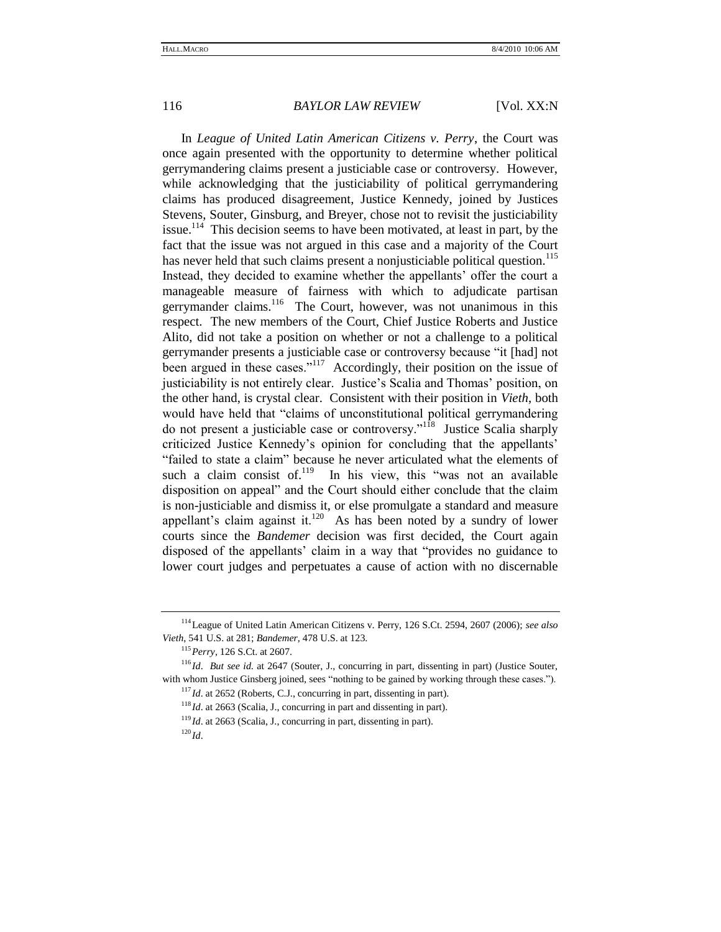In *League of United Latin American Citizens v. Perry*, the Court was once again presented with the opportunity to determine whether political gerrymandering claims present a justiciable case or controversy. However, while acknowledging that the justiciability of political gerrymandering claims has produced disagreement, Justice Kennedy, joined by Justices Stevens, Souter, Ginsburg, and Breyer, chose not to revisit the justiciability issue.<sup>114</sup> This decision seems to have been motivated, at least in part, by the fact that the issue was not argued in this case and a majority of the Court has never held that such claims present a nonjusticiable political question.<sup>115</sup> Instead, they decided to examine whether the appellants' offer the court a manageable measure of fairness with which to adjudicate partisan gerrymander claims.<sup>116</sup> The Court, however, was not unanimous in this respect. The new members of the Court, Chief Justice Roberts and Justice Alito, did not take a position on whether or not a challenge to a political gerrymander presents a justiciable case or controversy because "it [had] not been argued in these cases."<sup>117</sup> Accordingly, their position on the issue of justiciability is not entirely clear. Justice's Scalia and Thomas' position, on the other hand, is crystal clear. Consistent with their position in *Vieth*, both would have held that "claims of unconstitutional political gerrymandering do not present a justiciable case or controversy."<sup>118</sup> Justice Scalia sharply criticized Justice Kennedy's opinion for concluding that the appellants' "failed to state a claim" because he never articulated what the elements of such a claim consist of.<sup>119</sup> In his view, this "was not an available disposition on appeal" and the Court should either conclude that the claim is non-justiciable and dismiss it, or else promulgate a standard and measure appellant's claim against it.<sup>120</sup> As has been noted by a sundry of lower courts since the *Bandemer* decision was first decided, the Court again disposed of the appellants' claim in a way that "provides no guidance to lower court judges and perpetuates a cause of action with no discernable

<sup>114</sup>League of United Latin American Citizens v. Perry, 126 S.Ct. 2594, 2607 (2006); *see also Vieth*, 541 U.S. at 281; *Bandemer*, 478 U.S. at 123.

<sup>115</sup>*Perry*, 126 S.Ct. at 2607.

<sup>116</sup> *Id*. *But see id*. at 2647 (Souter, J., concurring in part, dissenting in part) (Justice Souter, with whom Justice Ginsberg joined, sees "nothing to be gained by working through these cases.").  $117$  *Id.* at 2652 (Roberts, C.J., concurring in part, dissenting in part).

<sup>&</sup>lt;sup>118</sup> *Id.* at 2663 (Scalia, J., concurring in part and dissenting in part).

<sup>&</sup>lt;sup>119</sup> *Id.* at 2663 (Scalia, J., concurring in part, dissenting in part).

 $^{120}$ *Id*.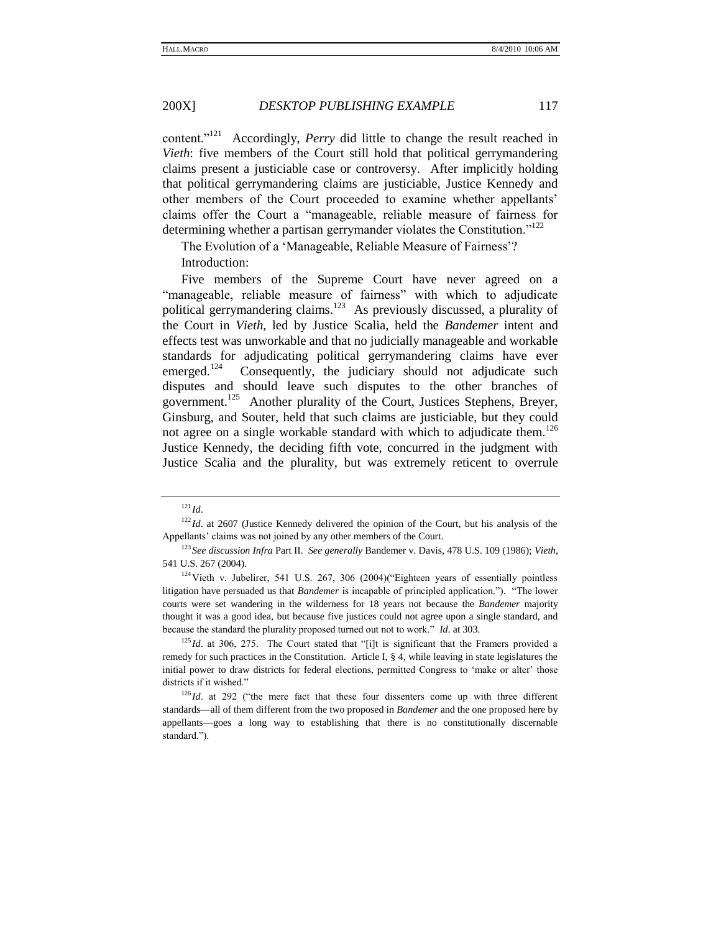content."<sup>121</sup> Accordingly, *Perry* did little to change the result reached in *Vieth*: five members of the Court still hold that political gerrymandering claims present a justiciable case or controversy. After implicitly holding that political gerrymandering claims are justiciable, Justice Kennedy and other members of the Court proceeded to examine whether appellants' claims offer the Court a "manageable, reliable measure of fairness for determining whether a partisan gerrymander violates the Constitution.<sup> $122$ </sup>

The Evolution of a 'Manageable, Reliable Measure of Fairness'?

Introduction:

Five members of the Supreme Court have never agreed on a "manageable, reliable measure of fairness" with which to adjudicate political gerrymandering claims.<sup>123</sup> As previously discussed, a plurality of the Court in *Vieth*, led by Justice Scalia, held the *Bandemer* intent and effects test was unworkable and that no judicially manageable and workable standards for adjudicating political gerrymandering claims have ever emerged. $124$  Consequently, the judiciary should not adjudicate such disputes and should leave such disputes to the other branches of government.<sup>125</sup> Another plurality of the Court, Justices Stephens, Breyer, Ginsburg, and Souter, held that such claims are justiciable, but they could not agree on a single workable standard with which to adjudicate them.<sup>126</sup> Justice Kennedy, the deciding fifth vote, concurred in the judgment with Justice Scalia and the plurality, but was extremely reticent to overrule

<sup>121</sup> *Id*.

<sup>&</sup>lt;sup>122</sup> *Id.* at 2607 (Justice Kennedy delivered the opinion of the Court, but his analysis of the Appellants' claims was not joined by any other members of the Court.

<sup>123</sup> *See discussion Infra* Part II. *See generally* Bandemer v. Davis, 478 U.S. 109 (1986); *Vieth*, 541 U.S. 267 (2004).

 $124$ Vieth v. Jubelirer, 541 U.S. 267, 306 (2004)("Eighteen years of essentially pointless litigation have persuaded us that *Bandemer* is incapable of principled application."). "The lower courts were set wandering in the wilderness for 18 years not because the *Bandemer* majority thought it was a good idea, but because five justices could not agree upon a single standard, and because the standard the plurality proposed turned out not to work.‖ *Id*. at 303.

 $125$  *Id.* at 306, 275. The Court stated that "[i]t is significant that the Framers provided a remedy for such practices in the Constitution. Article I, § 4, while leaving in state legislatures the initial power to draw districts for federal elections, permitted Congress to 'make or alter' those districts if it wished."

 $126$  *Id.* at 292 ("the mere fact that these four dissenters come up with three different standards—all of them different from the two proposed in *Bandemer* and the one proposed here by appellants—goes a long way to establishing that there is no constitutionally discernable standard.").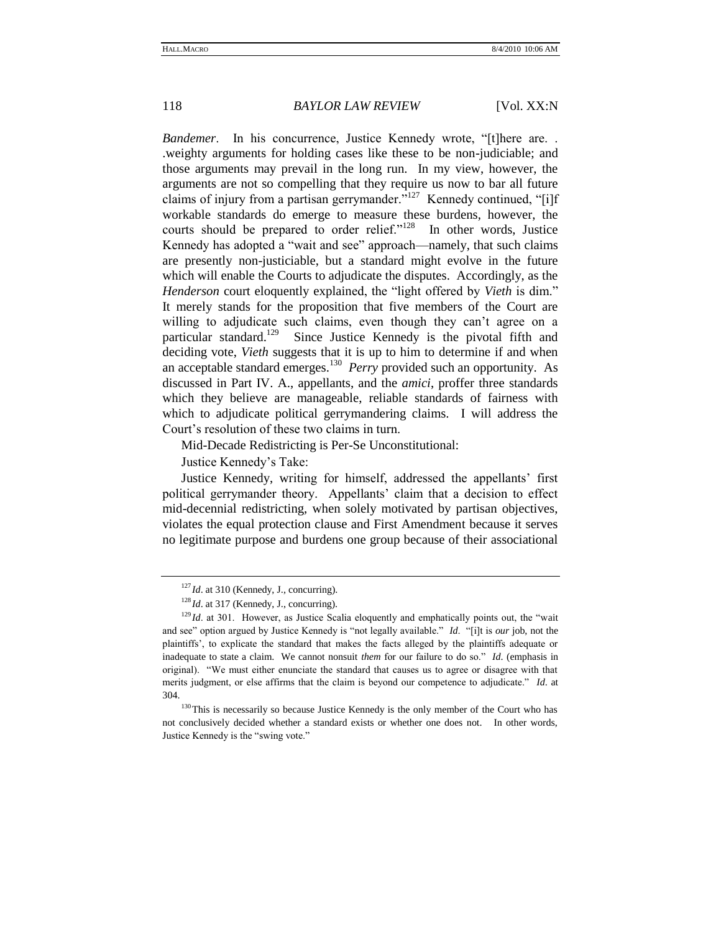*Bandemer.* In his concurrence, Justice Kennedy wrote, "[t]here are... .weighty arguments for holding cases like these to be non-judiciable; and those arguments may prevail in the long run. In my view, however, the arguments are not so compelling that they require us now to bar all future claims of injury from a partisan gerrymander."<sup>127</sup> Kennedy continued, "[i]f workable standards do emerge to measure these burdens, however, the courts should be prepared to order relief."<sup>128</sup> In other words, Justice Kennedy has adopted a "wait and see" approach—namely, that such claims are presently non-justiciable, but a standard might evolve in the future which will enable the Courts to adjudicate the disputes. Accordingly, as the *Henderson* court eloquently explained, the "light offered by *Vieth* is dim." It merely stands for the proposition that five members of the Court are willing to adjudicate such claims, even though they can't agree on a particular standard.<sup>129</sup> Since Justice Kennedy is the pivotal fifth and deciding vote, *Vieth* suggests that it is up to him to determine if and when an acceptable standard emerges.<sup>130</sup> Perry provided such an opportunity. As discussed in Part IV. A., appellants, and the *amici*, proffer three standards which they believe are manageable, reliable standards of fairness with which to adjudicate political gerrymandering claims. I will address the Court's resolution of these two claims in turn.

Mid-Decade Redistricting is Per-Se Unconstitutional:

Justice Kennedy's Take:

Justice Kennedy, writing for himself, addressed the appellants' first political gerrymander theory. Appellants' claim that a decision to effect mid-decennial redistricting, when solely motivated by partisan objectives, violates the equal protection clause and First Amendment because it serves no legitimate purpose and burdens one group because of their associational

<sup>&</sup>lt;sup>127</sup>*Id.* at 310 (Kennedy, J., concurring).

<sup>&</sup>lt;sup>128</sup>*Id.* at 317 (Kennedy, J., concurring).

 $129$  *Id.* at 301. However, as Justice Scalia eloquently and emphatically points out, the "wait" and see" option argued by Justice Kennedy is "not legally available." *Id.* "[i]t is *our* job, not the plaintiffs', to explicate the standard that makes the facts alleged by the plaintiffs adequate or inadequate to state a claim. We cannot nonsuit *them* for our failure to do so." *Id*. (emphasis in original). ―We must either enunciate the standard that causes us to agree or disagree with that merits judgment, or else affirms that the claim is beyond our competence to adjudicate." *Id.* at 304.

<sup>&</sup>lt;sup>130</sup>This is necessarily so because Justice Kennedy is the only member of the Court who has not conclusively decided whether a standard exists or whether one does not. In other words, Justice Kennedy is the "swing vote."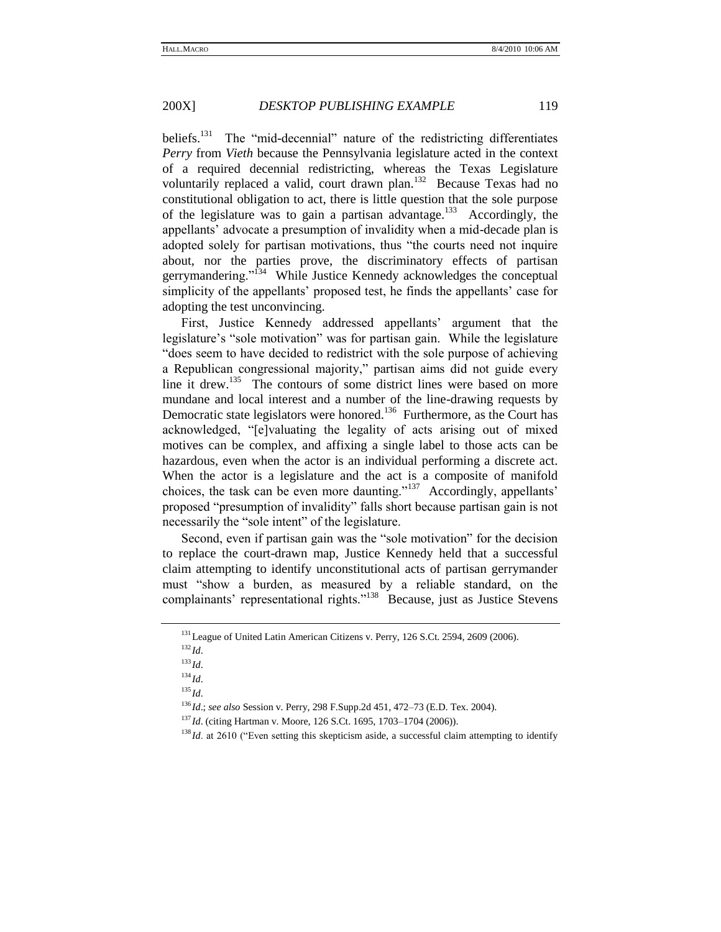beliefs.<sup>131</sup> The "mid-decennial" nature of the redistricting differentiates *Perry* from *Vieth* because the Pennsylvania legislature acted in the context of a required decennial redistricting, whereas the Texas Legislature voluntarily replaced a valid, court drawn plan.<sup>132</sup> Because Texas had no constitutional obligation to act, there is little question that the sole purpose of the legislature was to gain a partisan advantage.<sup>133</sup> Accordingly, the appellants' advocate a presumption of invalidity when a mid-decade plan is adopted solely for partisan motivations, thus "the courts need not inquire about, nor the parties prove, the discriminatory effects of partisan gerrymandering."<sup>134</sup> While Justice Kennedy acknowledges the conceptual simplicity of the appellants' proposed test, he finds the appellants' case for adopting the test unconvincing.

First, Justice Kennedy addressed appellants' argument that the legislature's "sole motivation" was for partisan gain. While the legislature "does seem to have decided to redistrict with the sole purpose of achieving a Republican congressional majority," partisan aims did not guide every line it drew.<sup>135</sup> The contours of some district lines were based on more mundane and local interest and a number of the line-drawing requests by Democratic state legislators were honored.<sup>136</sup> Furthermore, as the Court has acknowledged, "[e]valuating the legality of acts arising out of mixed motives can be complex, and affixing a single label to those acts can be hazardous, even when the actor is an individual performing a discrete act. When the actor is a legislature and the act is a composite of manifold choices, the task can be even more daunting."<sup>137</sup> Accordingly, appellants' proposed "presumption of invalidity" falls short because partisan gain is not necessarily the "sole intent" of the legislature.

Second, even if partisan gain was the "sole motivation" for the decision to replace the court-drawn map, Justice Kennedy held that a successful claim attempting to identify unconstitutional acts of partisan gerrymander must "show a burden, as measured by a reliable standard, on the complainants' representational rights."<sup>138</sup> Because, just as Justice Stevens

<sup>&</sup>lt;sup>131</sup> League of United Latin American Citizens v. Perry, 126 S.Ct. 2594, 2609 (2006).

 $^{132}$ *Id*.

<sup>133</sup> *Id*.

<sup>134</sup> *Id*.

<sup>135</sup> *Id*.

<sup>136</sup> *Id*.; *see also* Session v. Perry, 298 F.Supp.2d 451, 472–73 (E.D. Tex. 2004).

<sup>137</sup> *Id*. (citing Hartman v. Moore, 126 S.Ct. 1695, 1703–1704 (2006)).

<sup>&</sup>lt;sup>138</sup> *Id.* at 2610 ("Even setting this skepticism aside, a successful claim attempting to identify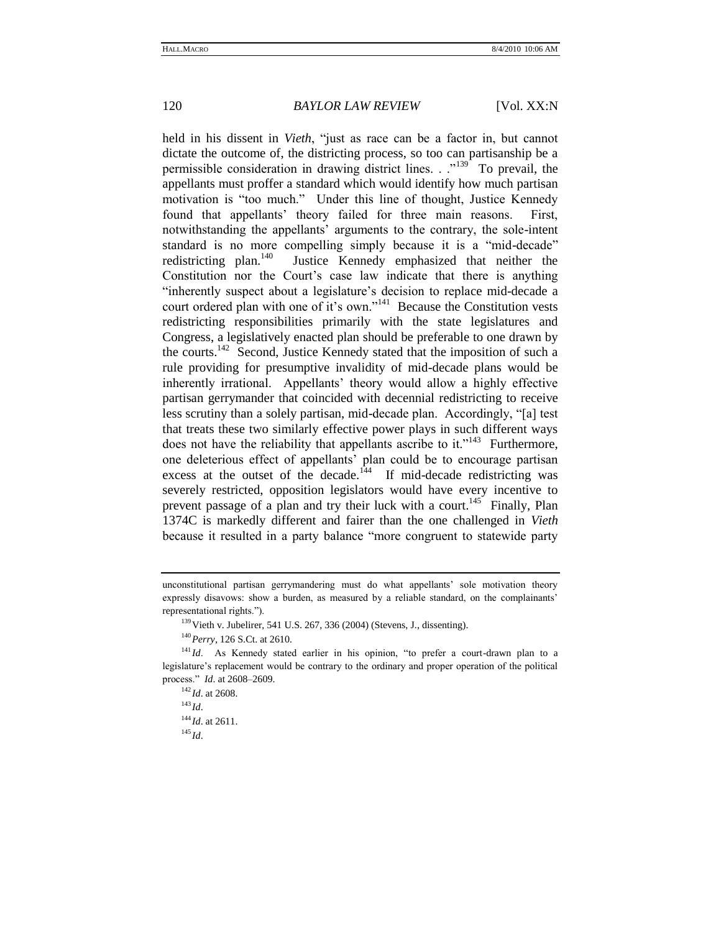held in his dissent in *Vieth*, "just as race can be a factor in, but cannot dictate the outcome of, the districting process, so too can partisanship be a permissible consideration in drawing district lines.  $\cdot$   $\cdot$   $\cdot$   $\cdot$  To prevail, the appellants must proffer a standard which would identify how much partisan motivation is "too much." Under this line of thought, Justice Kennedy found that appellants' theory failed for three main reasons. First, notwithstanding the appellants' arguments to the contrary, the sole-intent standard is no more compelling simply because it is a "mid-decade" redistricting plan. $140$  Justice Kennedy emphasized that neither the Constitution nor the Court's case law indicate that there is anything ―inherently suspect about a legislature's decision to replace mid-decade a court ordered plan with one of it's own."<sup>141</sup> Because the Constitution vests redistricting responsibilities primarily with the state legislatures and Congress, a legislatively enacted plan should be preferable to one drawn by the courts.<sup>142</sup> Second, Justice Kennedy stated that the imposition of such a rule providing for presumptive invalidity of mid-decade plans would be inherently irrational. Appellants' theory would allow a highly effective partisan gerrymander that coincided with decennial redistricting to receive less scrutiny than a solely partisan, mid-decade plan. Accordingly, "[a] test that treats these two similarly effective power plays in such different ways does not have the reliability that appellants ascribe to it."<sup>143</sup> Furthermore, one deleterious effect of appellants' plan could be to encourage partisan excess at the outset of the decade.<sup>144</sup> If mid-decade redistricting was severely restricted, opposition legislators would have every incentive to prevent passage of a plan and try their luck with a court.<sup>145</sup> Finally, Plan 1374C is markedly different and fairer than the one challenged in *Vieth* because it resulted in a party balance "more congruent to statewide party

<sup>143</sup> *Id*.

unconstitutional partisan gerrymandering must do what appellants' sole motivation theory expressly disavows: show a burden, as measured by a reliable standard, on the complainants' representational rights.").

 $139$  Vieth v. Jubelirer, 541 U.S. 267, 336 (2004) (Stevens, J., dissenting).

<sup>140</sup>*Perry*, 126 S.Ct. at 2610.

<sup>&</sup>lt;sup>141</sup> Id. As Kennedy stated earlier in his opinion, "to prefer a court-drawn plan to a legislature's replacement would be contrary to the ordinary and proper operation of the political process.‖ *Id*. at 2608–2609.

<sup>142</sup> *Id*. at 2608.

<sup>144</sup> *Id*. at 2611.

<sup>145</sup> *Id*.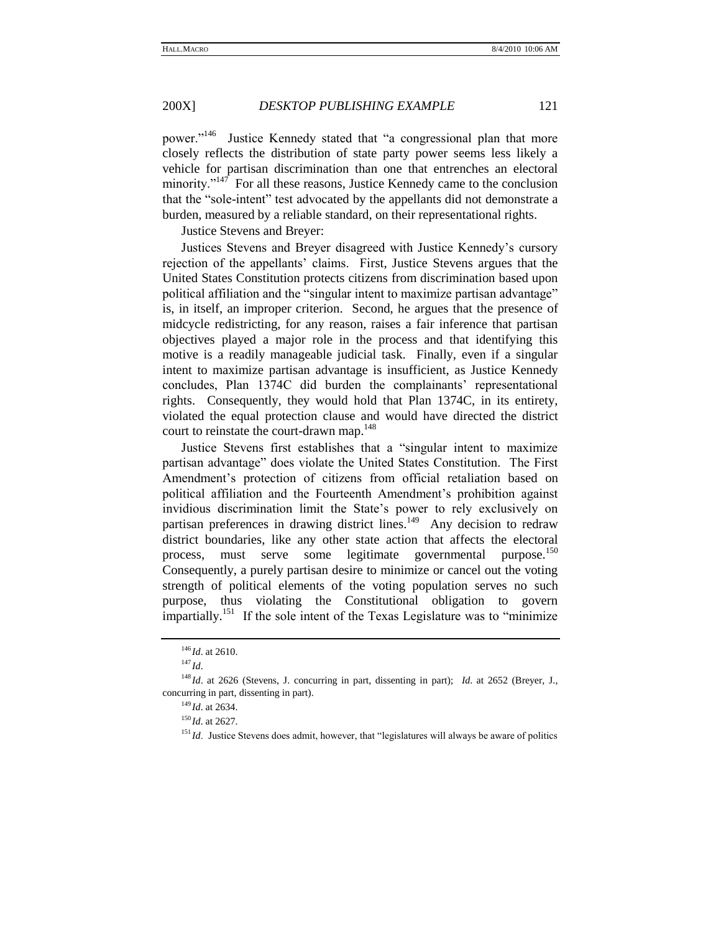power."<sup>146</sup> Justice Kennedy stated that "a congressional plan that more closely reflects the distribution of state party power seems less likely a vehicle for partisan discrimination than one that entrenches an electoral minority."<sup>147</sup> For all these reasons, Justice Kennedy came to the conclusion that the "sole-intent" test advocated by the appellants did not demonstrate a burden, measured by a reliable standard, on their representational rights.

Justice Stevens and Breyer:

Justices Stevens and Breyer disagreed with Justice Kennedy's cursory rejection of the appellants' claims. First, Justice Stevens argues that the United States Constitution protects citizens from discrimination based upon political affiliation and the "singular intent to maximize partisan advantage" is, in itself, an improper criterion. Second, he argues that the presence of midcycle redistricting, for any reason, raises a fair inference that partisan objectives played a major role in the process and that identifying this motive is a readily manageable judicial task. Finally, even if a singular intent to maximize partisan advantage is insufficient, as Justice Kennedy concludes, Plan 1374C did burden the complainants' representational rights. Consequently, they would hold that Plan 1374C, in its entirety, violated the equal protection clause and would have directed the district court to reinstate the court-drawn map.<sup>148</sup>

Justice Stevens first establishes that a "singular intent to maximize" partisan advantage‖ does violate the United States Constitution. The First Amendment's protection of citizens from official retaliation based on political affiliation and the Fourteenth Amendment's prohibition against invidious discrimination limit the State's power to rely exclusively on partisan preferences in drawing district lines.<sup>149</sup> Any decision to redraw district boundaries, like any other state action that affects the electoral process, must serve some legitimate governmental purpose.<sup>150</sup> Consequently, a purely partisan desire to minimize or cancel out the voting strength of political elements of the voting population serves no such purpose, thus violating the Constitutional obligation to govern impartially.<sup>151</sup> If the sole intent of the Texas Legislature was to "minimize"

<sup>146</sup> *Id*. at 2610.

<sup>147</sup> *Id*.

<sup>&</sup>lt;sup>148</sup> *Id.* at 2626 (Stevens, J. concurring in part, dissenting in part); *Id.* at 2652 (Breyer, J., concurring in part, dissenting in part).

<sup>149</sup> *Id*. at 2634.

<sup>150</sup> *Id*. at 2627.

 $151$  *Id.* Justice Stevens does admit, however, that "legislatures will always be aware of politics"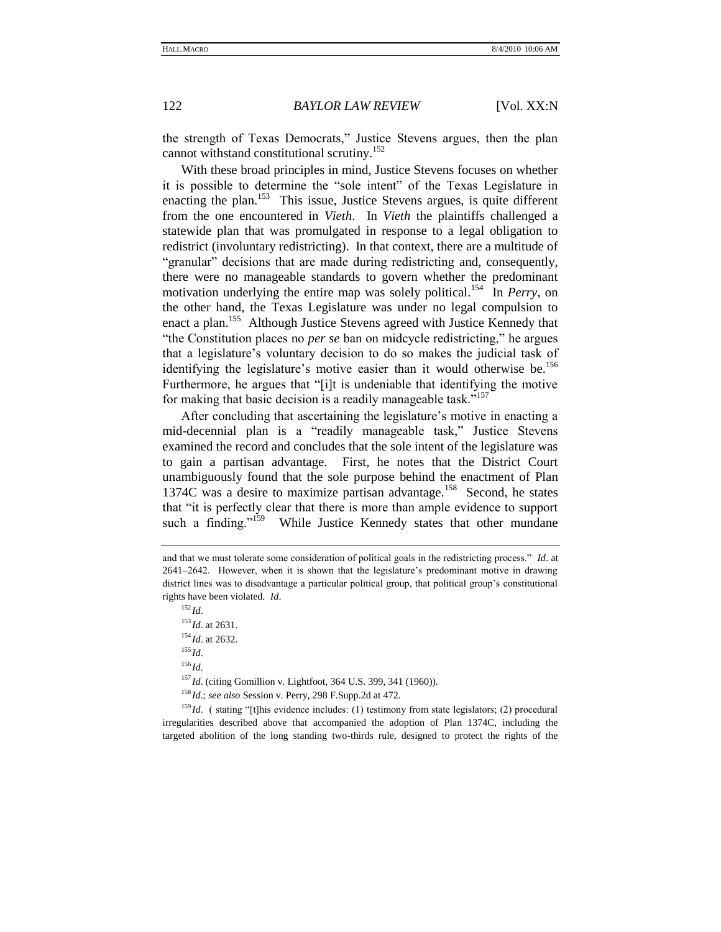the strength of Texas Democrats," Justice Stevens argues, then the plan cannot withstand constitutional scrutiny.<sup>152</sup>

With these broad principles in mind, Justice Stevens focuses on whether it is possible to determine the "sole intent" of the Texas Legislature in enacting the plan.<sup>153</sup> This issue, Justice Stevens argues, is quite different from the one encountered in *Vieth*. In *Vieth* the plaintiffs challenged a statewide plan that was promulgated in response to a legal obligation to redistrict (involuntary redistricting). In that context, there are a multitude of "granular" decisions that are made during redistricting and, consequently, there were no manageable standards to govern whether the predominant motivation underlying the entire map was solely political.<sup>154</sup> In *Perry*, on the other hand, the Texas Legislature was under no legal compulsion to enact a plan.<sup>155</sup> Although Justice Stevens agreed with Justice Kennedy that "the Constitution places no *per se* ban on midcycle redistricting," he argues that a legislature's voluntary decision to do so makes the judicial task of identifying the legislature's motive easier than it would otherwise be.<sup>156</sup> Furthermore, he argues that "[i]t is undeniable that identifying the motive for making that basic decision is a readily manageable task." $157$ 

After concluding that ascertaining the legislature's motive in enacting a mid-decennial plan is a "readily manageable task," Justice Stevens examined the record and concludes that the sole intent of the legislature was to gain a partisan advantage. First, he notes that the District Court unambiguously found that the sole purpose behind the enactment of Plan 1374C was a desire to maximize partisan advantage.<sup>158</sup> Second, he states that "it is perfectly clear that there is more than ample evidence to support such a finding."<sup>159</sup> While Justice Kennedy states that other mundane

 $^{152}$ *Id.* <sup>153</sup> *Id*. at 2631. <sup>154</sup> *Id*. at 2632. <sup>155</sup> *Id*. <sup>156</sup> *Id*. <sup>157</sup>*Id.* (citing Gomillion v. Lightfoot, 364 U.S. 399, 341 (1960)). <sup>158</sup> *Id*.; *see also* Session v. Perry, 298 F.Supp.2d at 472.

 $159$  *Id.* ( stating "[t]his evidence includes: (1) testimony from state legislators; (2) procedural irregularities described above that accompanied the adoption of Plan 1374C, including the targeted abolition of the long standing two-thirds rule, designed to protect the rights of the

and that we must tolerate some consideration of political goals in the redistricting process.‖ *Id*. at 2641–2642. However, when it is shown that the legislature's predominant motive in drawing district lines was to disadvantage a particular political group, that political group's constitutional rights have been violated. *Id*.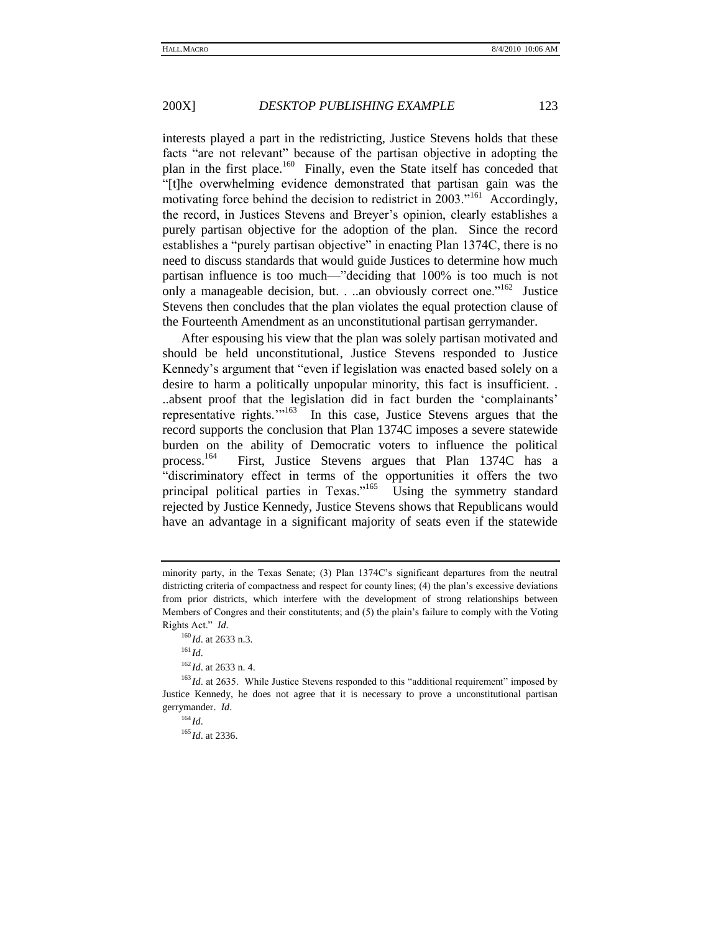interests played a part in the redistricting, Justice Stevens holds that these facts "are not relevant" because of the partisan objective in adopting the plan in the first place.<sup>160</sup> Finally, even the State itself has conceded that "[t]he overwhelming evidence demonstrated that partisan gain was the motivating force behind the decision to redistrict in  $2003$ ."<sup>161</sup> Accordingly, the record, in Justices Stevens and Breyer's opinion, clearly establishes a purely partisan objective for the adoption of the plan. Since the record establishes a "purely partisan objective" in enacting Plan 1374C, there is no need to discuss standards that would guide Justices to determine how much partisan influence is too much—"deciding that 100% is too much is not only a manageable decision, but. . ..an obviously correct one." <sup>162</sup> Justice Stevens then concludes that the plan violates the equal protection clause of the Fourteenth Amendment as an unconstitutional partisan gerrymander.

After espousing his view that the plan was solely partisan motivated and should be held unconstitutional, Justice Stevens responded to Justice Kennedy's argument that "even if legislation was enacted based solely on a desire to harm a politically unpopular minority, this fact is insufficient. . ..absent proof that the legislation did in fact burden the 'complainants' representative rights. $\frac{163}{10}$  In this case, Justice Stevens argues that the record supports the conclusion that Plan 1374C imposes a severe statewide burden on the ability of Democratic voters to influence the political process.<sup>164</sup> First, Justice Stevens argues that Plan 1374C has a "discriminatory effect in terms of the opportunities it offers the two principal political parties in Texas."<sup>165</sup> Using the symmetry standard rejected by Justice Kennedy, Justice Stevens shows that Republicans would have an advantage in a significant majority of seats even if the statewide

minority party, in the Texas Senate; (3) Plan 1374C's significant departures from the neutral districting criteria of compactness and respect for county lines; (4) the plan's excessive deviations from prior districts, which interfere with the development of strong relationships between Members of Congres and their constitutents; and (5) the plain's failure to comply with the Voting Rights Act." *Id.* 

<sup>160</sup> *Id*. at 2633 n.3.

 $^{161}$ *Id*.

<sup>162</sup> *Id*. at 2633 n. 4.

<sup>&</sup>lt;sup>163</sup> *Id.* at 2635. While Justice Stevens responded to this "additional requirement" imposed by Justice Kennedy, he does not agree that it is necessary to prove a unconstitutional partisan gerrymander. *Id*.

 $164$  *Id*.

<sup>165</sup> *Id*. at 2336.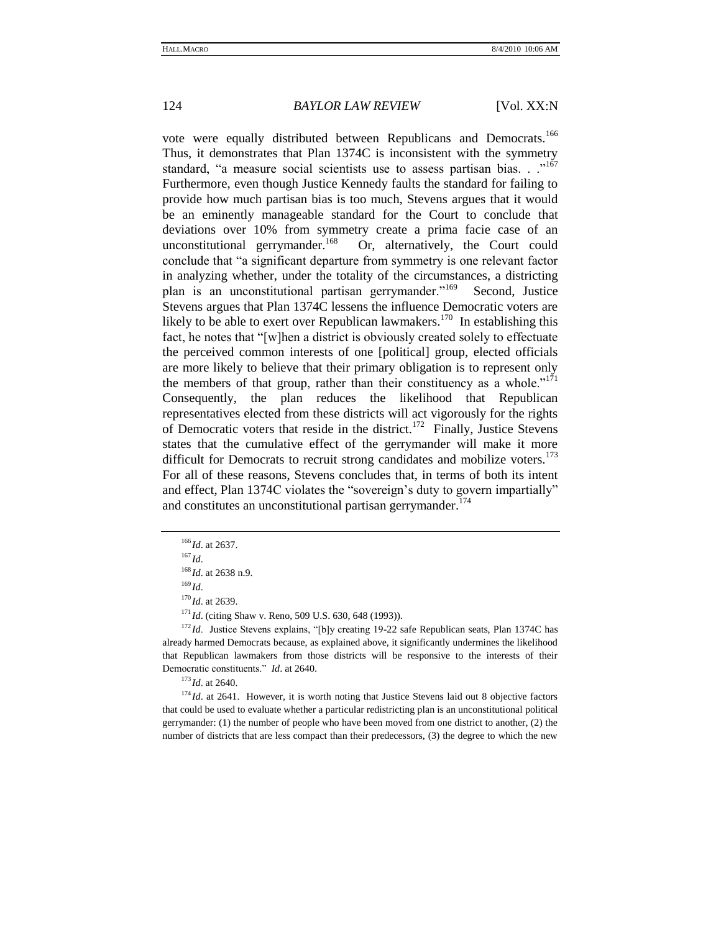vote were equally distributed between Republicans and Democrats.<sup>166</sup> Thus, it demonstrates that Plan 1374C is inconsistent with the symmetry standard, "a measure social scientists use to assess partisan bias. . .<sup>167</sup> Furthermore, even though Justice Kennedy faults the standard for failing to provide how much partisan bias is too much, Stevens argues that it would be an eminently manageable standard for the Court to conclude that deviations over 10% from symmetry create a prima facie case of an unconstitutional gerrymander.<sup>168</sup> Or, alternatively, the Court could conclude that "a significant departure from symmetry is one relevant factor in analyzing whether, under the totality of the circumstances, a districting plan is an unconstitutional partisan gerrymander."<sup>169</sup> Second, Justice Stevens argues that Plan 1374C lessens the influence Democratic voters are likely to be able to exert over Republican lawmakers.<sup>170</sup> In establishing this fact, he notes that "[w]hen a district is obviously created solely to effectuate the perceived common interests of one [political] group, elected officials are more likely to believe that their primary obligation is to represent only the members of that group, rather than their constituency as a whole.<sup> $171$ </sup> Consequently, the plan reduces the likelihood that Republican representatives elected from these districts will act vigorously for the rights of Democratic voters that reside in the district.<sup>172</sup> Finally, Justice Stevens states that the cumulative effect of the gerrymander will make it more difficult for Democrats to recruit strong candidates and mobilize voters.<sup>173</sup> For all of these reasons, Stevens concludes that, in terms of both its intent and effect, Plan 1374C violates the "sovereign's duty to govern impartially" and constitutes an unconstitutional partisan gerrymander.<sup>174</sup>

 $169$  *Id.* 

<sup>170</sup> *Id*. at 2639.

<sup>171</sup> *Id.* (citing Shaw v. Reno, 509 U.S. 630, 648 (1993)).

 $172$  *Id*. Justice Stevens explains, "[b]y creating 19-22 safe Republican seats, Plan 1374C has already harmed Democrats because, as explained above, it significantly undermines the likelihood that Republican lawmakers from those districts will be responsive to the interests of their Democratic constituents." *Id.* at 2640.

<sup>173</sup> *Id*. at 2640.

<sup>174</sup> *Id.* at 2641. However, it is worth noting that Justice Stevens laid out 8 objective factors that could be used to evaluate whether a particular redistricting plan is an unconstitutional political gerrymander: (1) the number of people who have been moved from one district to another, (2) the number of districts that are less compact than their predecessors, (3) the degree to which the new

<sup>166</sup> *Id*. at 2637.

 $167$  *Id.* 

<sup>168</sup> *Id*. at 2638 n.9.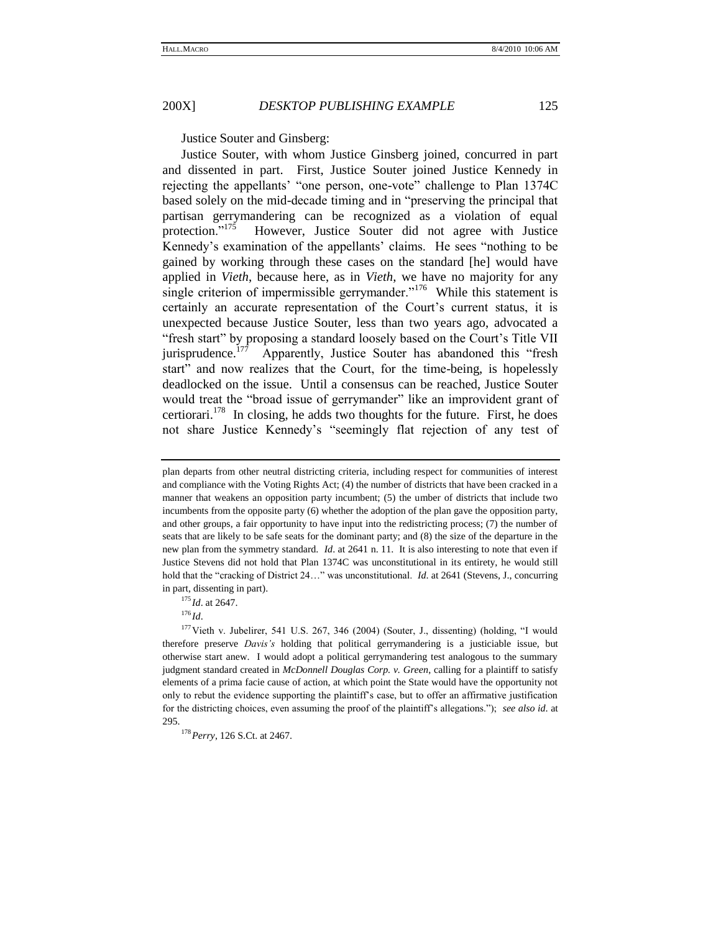Justice Souter and Ginsberg:

Justice Souter, with whom Justice Ginsberg joined, concurred in part and dissented in part. First, Justice Souter joined Justice Kennedy in rejecting the appellants' "one person, one-vote" challenge to Plan 1374C based solely on the mid-decade timing and in "preserving the principal that partisan gerrymandering can be recognized as a violation of equal protection."<sup>175</sup> However, Justice Souter did not agree with Justice Kennedy's examination of the appellants' claims. He sees "nothing to be gained by working through these cases on the standard [he] would have applied in *Vieth*, because here, as in *Vieth*, we have no majority for any single criterion of impermissible gerrymander."<sup>176</sup> While this statement is certainly an accurate representation of the Court's current status, it is unexpected because Justice Souter, less than two years ago, advocated a "fresh start" by proposing a standard loosely based on the Court's Title VII jurisprudence.<sup>177</sup> Apparently, Justice Souter has abandoned this "fresh" start" and now realizes that the Court, for the time-being, is hopelessly deadlocked on the issue. Until a consensus can be reached, Justice Souter would treat the "broad issue of gerrymander" like an improvident grant of certiorari.<sup>178</sup> In closing, he adds two thoughts for the future. First, he does not share Justice Kennedy's "seemingly flat rejection of any test of

<sup>175</sup> *Id*. at 2647.

plan departs from other neutral districting criteria, including respect for communities of interest and compliance with the Voting Rights Act; (4) the number of districts that have been cracked in a manner that weakens an opposition party incumbent; (5) the umber of districts that include two incumbents from the opposite party (6) whether the adoption of the plan gave the opposition party, and other groups, a fair opportunity to have input into the redistricting process; (7) the number of seats that are likely to be safe seats for the dominant party; and (8) the size of the departure in the new plan from the symmetry standard. *Id*. at 2641 n. 11. It is also interesting to note that even if Justice Stevens did not hold that Plan 1374C was unconstitutional in its entirety, he would still hold that the "cracking of District 24..." was unconstitutional. *Id.* at 2641 (Stevens, J., concurring in part, dissenting in part).

<sup>176</sup> *Id*.

 $177$  Vieth v. Jubelirer, 541 U.S. 267, 346 (2004) (Souter, J., dissenting) (holding, "I would therefore preserve *Davis's* holding that political gerrymandering is a justiciable issue, but otherwise start anew. I would adopt a political gerrymandering test analogous to the summary judgment standard created in *McDonnell Douglas Corp. v. Green*, calling for a plaintiff to satisfy elements of a prima facie cause of action, at which point the State would have the opportunity not only to rebut the evidence supporting the plaintiff's case, but to offer an affirmative justification for the districting choices, even assuming the proof of the plaintiff's allegations.‖); *see also id*. at 295.

<sup>178</sup>*Perry*, 126 S.Ct. at 2467.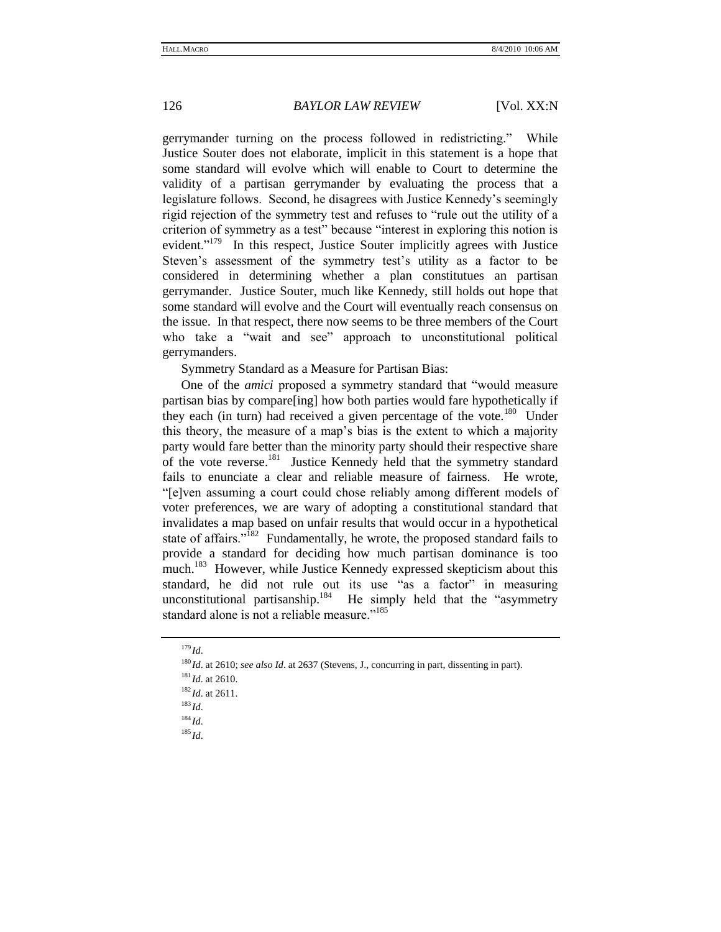gerrymander turning on the process followed in redistricting." While Justice Souter does not elaborate, implicit in this statement is a hope that some standard will evolve which will enable to Court to determine the validity of a partisan gerrymander by evaluating the process that a legislature follows. Second, he disagrees with Justice Kennedy's seemingly rigid rejection of the symmetry test and refuses to "rule out the utility of a criterion of symmetry as a test" because "interest in exploring this notion is evident."<sup>179</sup> In this respect, Justice Souter implicitly agrees with Justice Steven's assessment of the symmetry test's utility as a factor to be considered in determining whether a plan constitutues an partisan gerrymander. Justice Souter, much like Kennedy, still holds out hope that some standard will evolve and the Court will eventually reach consensus on the issue. In that respect, there now seems to be three members of the Court who take a "wait and see" approach to unconstitutional political gerrymanders.

Symmetry Standard as a Measure for Partisan Bias:

One of the *amici* proposed a symmetry standard that "would measure" partisan bias by compare[ing] how both parties would fare hypothetically if they each (in turn) had received a given percentage of the vote.<sup>180</sup> Under this theory, the measure of a map's bias is the extent to which a majority party would fare better than the minority party should their respective share of the vote reverse.<sup>181</sup> Justice Kennedy held that the symmetry standard fails to enunciate a clear and reliable measure of fairness. He wrote, ―[e]ven assuming a court could chose reliably among different models of voter preferences, we are wary of adopting a constitutional standard that invalidates a map based on unfair results that would occur in a hypothetical state of affairs."<sup>182</sup> Fundamentally, he wrote, the proposed standard fails to provide a standard for deciding how much partisan dominance is too much.<sup>183</sup> However, while Justice Kennedy expressed skepticism about this standard, he did not rule out its use "as a factor" in measuring unconstitutional partisanship.<sup>184</sup> He simply held that the "asymmetry standard alone is not a reliable measure."<sup>185</sup>

<sup>183</sup> *Id*.

<sup>179</sup> *Id*.

<sup>180</sup> *Id*. at 2610; *see also Id*. at 2637 (Stevens, J., concurring in part, dissenting in part).

<sup>181</sup> *Id*. at 2610.

<sup>182</sup> *Id*. at 2611.

 $184$  *Id.* 

<sup>185</sup> *Id*.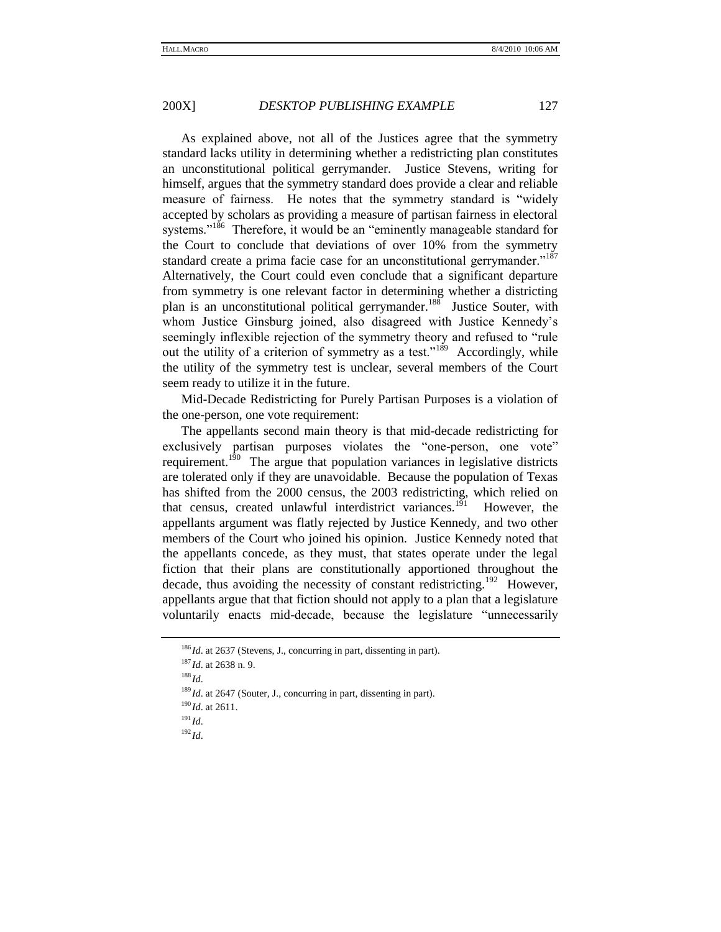As explained above, not all of the Justices agree that the symmetry standard lacks utility in determining whether a redistricting plan constitutes an unconstitutional political gerrymander. Justice Stevens, writing for himself, argues that the symmetry standard does provide a clear and reliable measure of fairness. He notes that the symmetry standard is "widely accepted by scholars as providing a measure of partisan fairness in electoral systems."<sup>186</sup> Therefore, it would be an "eminently manageable standard for the Court to conclude that deviations of over 10% from the symmetry standard create a prima facie case for an unconstitutional gerrymander."<sup>187</sup> Alternatively, the Court could even conclude that a significant departure from symmetry is one relevant factor in determining whether a districting plan is an unconstitutional political gerrymander.<sup>188</sup> Justice Souter, with whom Justice Ginsburg joined, also disagreed with Justice Kennedy's seemingly inflexible rejection of the symmetry theory and refused to "rule" out the utility of a criterion of symmetry as a test."<sup>189</sup> Accordingly, while the utility of the symmetry test is unclear, several members of the Court seem ready to utilize it in the future.

Mid-Decade Redistricting for Purely Partisan Purposes is a violation of the one-person, one vote requirement:

The appellants second main theory is that mid-decade redistricting for exclusively partisan purposes violates the "one-person, one vote" requirement.<sup>190</sup> The argue that population variances in legislative districts are tolerated only if they are unavoidable. Because the population of Texas has shifted from the 2000 census, the 2003 redistricting, which relied on that census, created unlawful interdistrict variances.<sup>191</sup> However, the appellants argument was flatly rejected by Justice Kennedy, and two other members of the Court who joined his opinion. Justice Kennedy noted that the appellants concede, as they must, that states operate under the legal fiction that their plans are constitutionally apportioned throughout the decade, thus avoiding the necessity of constant redistricting.<sup>192</sup> However, appellants argue that that fiction should not apply to a plan that a legislature voluntarily enacts mid-decade, because the legislature "unnecessarily

<sup>186</sup> *Id*. at 2637 (Stevens, J., concurring in part, dissenting in part).

<sup>187</sup> *Id*. at 2638 n. 9.

<sup>188</sup> *Id*.

<sup>&</sup>lt;sup>189</sup> *Id.* at 2647 (Souter, J., concurring in part, dissenting in part).

<sup>190</sup> *Id*. at 2611.

 $^{191}$ *Id.* 

 $^{192}$ *Id*.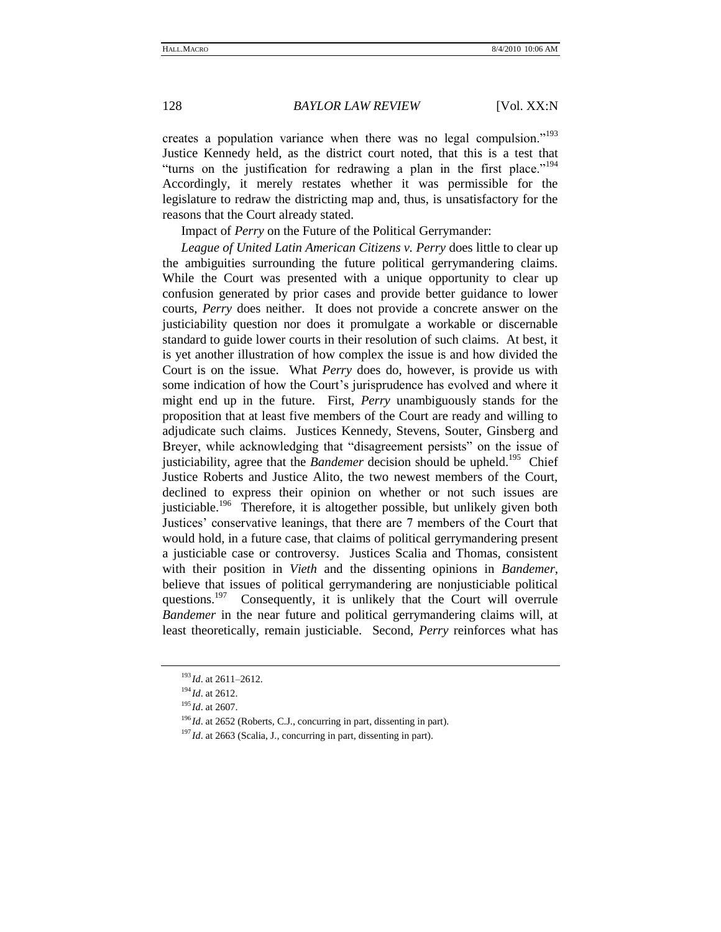creates a population variance when there was no legal compulsion."<sup>193</sup> Justice Kennedy held, as the district court noted, that this is a test that "turns on the justification for redrawing a plan in the first place."<sup>194</sup> Accordingly, it merely restates whether it was permissible for the legislature to redraw the districting map and, thus, is unsatisfactory for the reasons that the Court already stated.

Impact of *Perry* on the Future of the Political Gerrymander:

*League of United Latin American Citizens v. Perry* does little to clear up the ambiguities surrounding the future political gerrymandering claims. While the Court was presented with a unique opportunity to clear up confusion generated by prior cases and provide better guidance to lower courts, *Perry* does neither. It does not provide a concrete answer on the justiciability question nor does it promulgate a workable or discernable standard to guide lower courts in their resolution of such claims. At best, it is yet another illustration of how complex the issue is and how divided the Court is on the issue. What *Perry* does do, however, is provide us with some indication of how the Court's jurisprudence has evolved and where it might end up in the future. First, *Perry* unambiguously stands for the proposition that at least five members of the Court are ready and willing to adjudicate such claims. Justices Kennedy, Stevens, Souter, Ginsberg and Breyer, while acknowledging that "disagreement persists" on the issue of justiciability, agree that the *Bandemer* decision should be upheld.<sup>195</sup> Chief Justice Roberts and Justice Alito, the two newest members of the Court, declined to express their opinion on whether or not such issues are justiciable.<sup>196</sup> Therefore, it is altogether possible, but unlikely given both Justices' conservative leanings, that there are 7 members of the Court that would hold, in a future case, that claims of political gerrymandering present a justiciable case or controversy. Justices Scalia and Thomas, consistent with their position in *Vieth* and the dissenting opinions in *Bandemer*, believe that issues of political gerrymandering are nonjusticiable political questions.<sup>197</sup> Consequently, it is unlikely that the Court will overrule *Bandemer* in the near future and political gerrymandering claims will, at least theoretically, remain justiciable. Second, *Perry* reinforces what has

<sup>193</sup> *Id*. at 2611–2612.

<sup>194</sup> *Id*. at 2612.

<sup>195</sup> *Id*. at 2607.

<sup>&</sup>lt;sup>196</sup> *Id.* at 2652 (Roberts, C.J., concurring in part, dissenting in part).

<sup>&</sup>lt;sup>197</sup> *Id.* at 2663 (Scalia, J., concurring in part, dissenting in part).